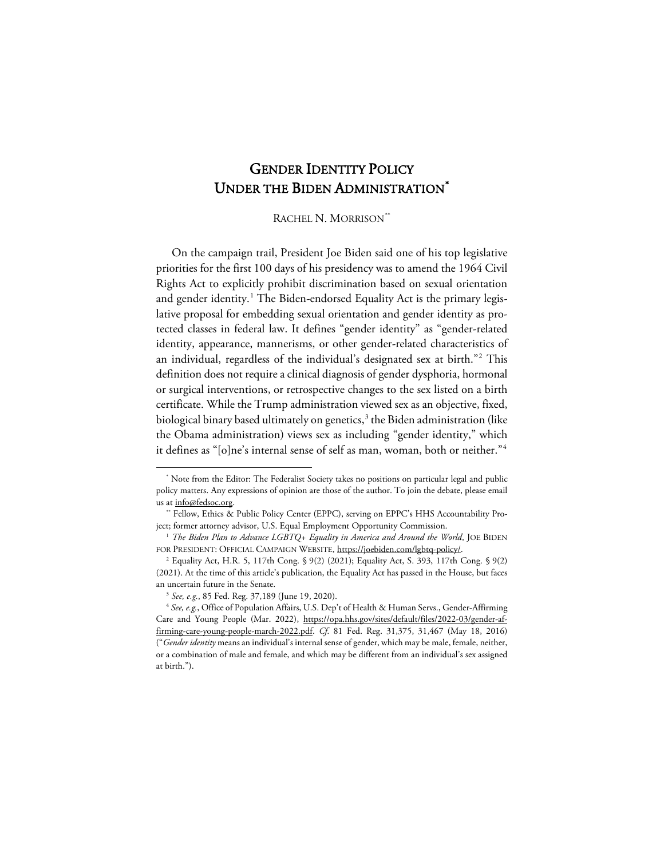# GENDER IDENTITY POLICY UNDER THE BIDEN ADMINISTRATION<sup>[\\*](#page-0-0)</sup>

RACHEL N. MORRISON[\\*\\*](#page-0-1)

On the campaign trail, President Joe Biden said one of his top legislative priorities for the first 100 days of his presidency was to amend the 1964 Civil Rights Act to explicitly prohibit discrimination based on sexual orientation and gender identity. [1](#page-0-2) The Biden-endorsed Equality Act is the primary legislative proposal for embedding sexual orientation and gender identity as protected classes in federal law. It defines "gender identity" as "gender-related identity, appearance, mannerisms, or other gender-related characteristics of an individual, regardless of the individual's designated sex at birth."[2](#page-0-3) This definition does not require a clinical diagnosis of gender dysphoria, hormonal or surgical interventions, or retrospective changes to the sex listed on a birth certificate. While the Trump administration viewed sex as an objective, fixed, biological binary based ultimately on genetics, $3$  the Biden administration (like the Obama administration) views sex as including "gender identity," which it defines as "[o]ne's internal sense of self as man, woman, both or neither."[4](#page-0-5)

<span id="page-0-0"></span>Note from the Editor: The Federalist Society takes no positions on particular legal and public policy matters. Any expressions of opinion are those of the author. To join the debate, please email us at info@fedsoc.org.

<span id="page-0-1"></span><sup>\*\*</sup> Fellow, Ethics & Public Policy Center (EPPC), serving on EPPC's HHS Accountability Project; former attorney advisor, U.S. Equal Employment Opportunity Commission.

<span id="page-0-2"></span><sup>&</sup>lt;sup>1</sup> The Biden Plan to Advance LGBTQ+ Equality in America and Around the World, JOE BIDEN FOR PRESIDENT: OFFICIAL CAMPAIGN WEBSITE, https://joebiden.com/lgbtq-policy/.

<span id="page-0-3"></span><sup>2</sup> Equality Act, H.R. 5, 117th Cong. § 9(2) (2021); Equality Act, S. 393, 117th Cong. § 9(2) (2021). At the time of this article's publication, the Equality Act has passed in the House, but faces an uncertain future in the Senate.

<sup>3</sup> *See, e.g.*, 85 Fed. Reg. 37,189 (June 19, 2020).

<span id="page-0-5"></span><span id="page-0-4"></span><sup>&</sup>lt;sup>4</sup> See, e.g., Office of Population Affairs, U.S. Dep't of Health & Human Servs., Gender-Affirming Care and Young People (Mar. 2022), https://opa.hhs.gov/sites/default/files/2022-03/gender-affirming-care-young-people-march-2022.pdf. *Cf.* 81 Fed. Reg. 31,375, 31,467 (May 18, 2016) ("*Gender identity* means an individual's internal sense of gender, which may be male, female, neither, or a combination of male and female, and which may be different from an individual's sex assigned at birth.").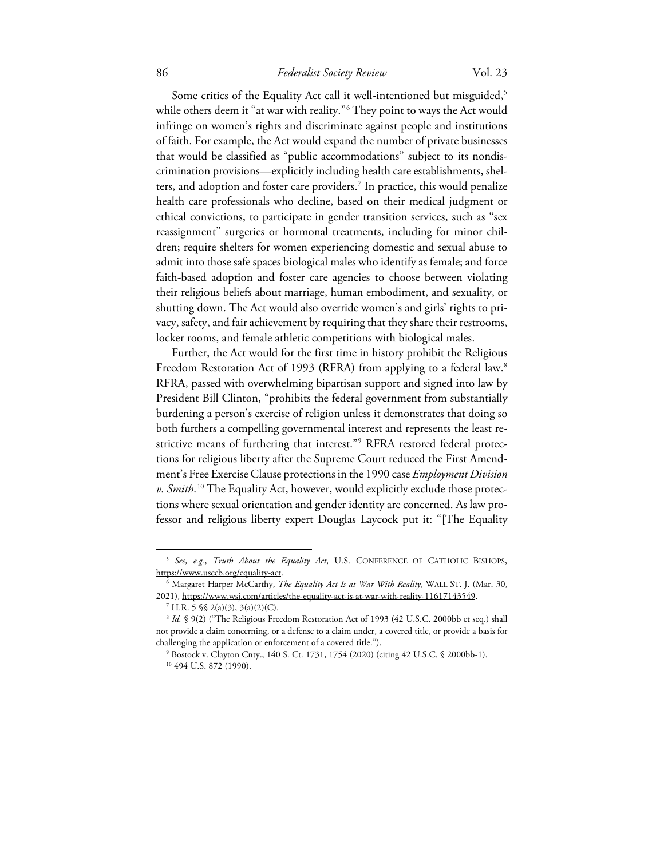Some critics of the Equality Act call it well-intentioned but misguided, [5](#page-1-0) while others deem it "at war with reality."[6](#page-1-1) They point to ways the Act would infringe on women's rights and discriminate against people and institutions of faith. For example, the Act would expand the number of private businesses that would be classified as "public accommodations" subject to its nondiscrimination provisions—explicitly including health care establishments, shelters, and adoption and foster care providers.[7](#page-1-2) In practice, this would penalize health care professionals who decline, based on their medical judgment or ethical convictions, to participate in gender transition services, such as "sex reassignment" surgeries or hormonal treatments, including for minor children; require shelters for women experiencing domestic and sexual abuse to admit into those safe spaces biological males who identify as female; and force faith-based adoption and foster care agencies to choose between violating their religious beliefs about marriage, human embodiment, and sexuality, or shutting down. The Act would also override women's and girls' rights to privacy, safety, and fair achievement by requiring that they share their restrooms, locker rooms, and female athletic competitions with biological males.

Further, the Act would for the first time in history prohibit the Religious Freedom Restoration Act of 1993 (RFRA) from applying to a federal law. [8](#page-1-3) RFRA, passed with overwhelming bipartisan support and signed into law by President Bill Clinton, "prohibits the federal government from substantially burdening a person's exercise of religion unless it demonstrates that doing so both furthers a compelling governmental interest and represents the least restrictive means of furthering that interest."[9](#page-1-4) RFRA restored federal protections for religious liberty after the Supreme Court reduced the First Amendment's Free Exercise Clause protections in the 1990 case *Employment Division v. Smith*. [10](#page-1-5) The Equality Act, however, would explicitly exclude those protections where sexual orientation and gender identity are concerned. As law professor and religious liberty expert Douglas Laycock put it: "[The Equality

<span id="page-1-0"></span><sup>5</sup> *See, e.g.*, *Truth About the Equality Act*, U.S. CONFERENCE OF CATHOLIC BISHOPS, https://www.usccb.org/equality-act.

<span id="page-1-1"></span><sup>6</sup> Margaret Harper McCarthy, *The Equality Act Is at War With Reality*, WALL ST. J. (Mar. 30, 2021), https://www.wsj.com/articles/the-equality-act-is-at-war-with-reality-11617143549.

 $^7$  H.R. 5  $\$  2(a)(3), 3(a)(2)(C).

<span id="page-1-5"></span><span id="page-1-4"></span><span id="page-1-3"></span><span id="page-1-2"></span><sup>&</sup>lt;sup>8</sup> Id. § 9(2) ("The Religious Freedom Restoration Act of 1993 (42 U.S.C. 2000bb et seq.) shall not provide a claim concerning, or a defense to a claim under, a covered title, or provide a basis for challenging the application or enforcement of a covered title.").

<sup>9</sup> Bostock v. Clayton Cnty., 140 S. Ct. 1731, 1754 (2020) (citing 42 U.S.C. § 2000bb-1). <sup>10</sup> 494 U.S. 872 (1990).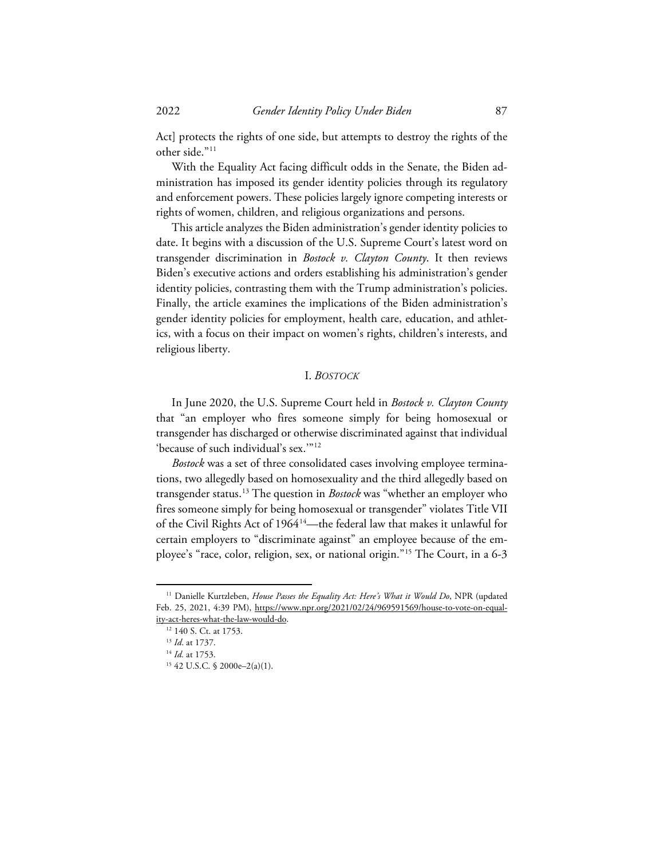Act] protects the rights of one side, but attempts to destroy the rights of the other side."<sup>[11](#page-2-0)</sup>

With the Equality Act facing difficult odds in the Senate, the Biden administration has imposed its gender identity policies through its regulatory and enforcement powers. These policies largely ignore competing interests or rights of women, children, and religious organizations and persons.

This article analyzes the Biden administration's gender identity policies to date. It begins with a discussion of the U.S. Supreme Court's latest word on transgender discrimination in *Bostock v. Clayton County*. It then reviews Biden's executive actions and orders establishing his administration's gender identity policies, contrasting them with the Trump administration's policies. Finally, the article examines the implications of the Biden administration's gender identity policies for employment, health care, education, and athletics, with a focus on their impact on women's rights, children's interests, and religious liberty.

# I. *BOSTOCK*

In June 2020, the U.S. Supreme Court held in *Bostock v. Clayton County* that "an employer who fires someone simply for being homosexual or transgender has discharged or otherwise discriminated against that individual 'because of such individual's sex.'"[12](#page-2-1)

*Bostock* was a set of three consolidated cases involving employee terminations, two allegedly based on homosexuality and the third allegedly based on transgender status.[13](#page-2-2) The question in *Bostock* was "whether an employer who fires someone simply for being homosexual or transgender" violates Title VII of the Civil Rights Act of 1964<sup>14</sup>—the federal law that makes it unlawful for certain employers to "discriminate against" an employee because of the employee's "race, color, religion, sex, or national origin.["15](#page-2-4) The Court, in a 6-3

<span id="page-2-2"></span><span id="page-2-1"></span><span id="page-2-0"></span><sup>&</sup>lt;sup>11</sup> Danielle Kurtzleben, *House Passes the Equality Act: Here's What it Would Do*, NPR (updated Feb. 25, 2021, 4:39 PM), https://www.npr.org/2021/02/24/969591569/house-to-vote-on-equality-act-heres-what-the-law-would-do.

<sup>&</sup>lt;sup>12</sup> 140 S. Ct. at 1753.

<sup>13</sup> *Id*. at 1737.

<span id="page-2-4"></span><span id="page-2-3"></span><sup>14</sup> *Id.* at 1753.

<sup>15</sup> 42 U.S.C. § 2000e–2(a)(1).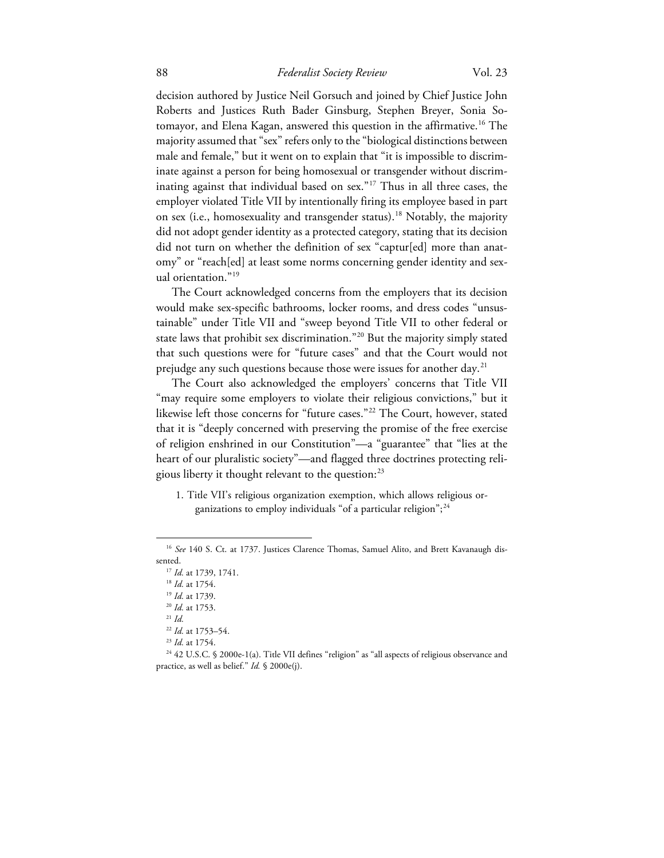decision authored by Justice Neil Gorsuch and joined by Chief Justice John Roberts and Justices Ruth Bader Ginsburg, Stephen Breyer, Sonia Sotomayor, and Elena Kagan, answered this question in the affirmative.[16](#page-3-0) The majority assumed that "sex" refers only to the "biological distinctions between male and female," but it went on to explain that "it is impossible to discriminate against a person for being homosexual or transgender without discriminating against that individual based on sex."[17](#page-3-1) Thus in all three cases, the employer violated Title VII by intentionally firing its employee based in part on sex (i.e., homosexuality and transgender status).<sup>18</sup> Notably, the majority did not adopt gender identity as a protected category, stating that its decision did not turn on whether the definition of sex "captur[ed] more than anatomy" or "reach[ed] at least some norms concerning gender identity and sexual orientation."[19](#page-3-3)

The Court acknowledged concerns from the employers that its decision would make sex-specific bathrooms, locker rooms, and dress codes "unsustainable" under Title VII and "sweep beyond Title VII to other federal or state laws that prohibit sex discrimination."[20](#page-3-4) But the majority simply stated that such questions were for "future cases" and that the Court would not prejudge any such questions because those were issues for another day. [21](#page-3-5)

The Court also acknowledged the employers' concerns that Title VII "may require some employers to violate their religious convictions," but it likewise left those concerns for "future cases."[22](#page-3-6) The Court, however, stated that it is "deeply concerned with preserving the promise of the free exercise of religion enshrined in our Constitution"—a "guarantee" that "lies at the heart of our pluralistic society"—and flagged three doctrines protecting religious liberty it thought relevant to the question: $^{23}$  $^{23}$  $^{23}$ 

1. Title VII's religious organization exemption, which allows religious organizations to employ individuals "of a particular religion"; [24](#page-3-8)

<span id="page-3-3"></span><span id="page-3-2"></span><span id="page-3-1"></span><span id="page-3-0"></span><sup>&</sup>lt;sup>16</sup> See 140 S. Ct. at 1737. Justices Clarence Thomas, Samuel Alito, and Brett Kavanaugh dissented.

<sup>17</sup> *Id.* at 1739, 1741.

<sup>18</sup> *Id.* at 1754.

<sup>19</sup> *Id.* at 1739.

<sup>20</sup> *Id.* at 1753.

<sup>21</sup> *Id.*

<sup>22</sup> *Id.* at 1753–54.

<sup>23</sup> *Id.* at 1754.

<span id="page-3-8"></span><span id="page-3-7"></span><span id="page-3-6"></span><span id="page-3-5"></span><span id="page-3-4"></span><sup>&</sup>lt;sup>24</sup> 42 U.S.C. § 2000e-1(a). Title VII defines "religion" as "all aspects of religious observance and practice, as well as belief." *Id.* § 2000e(j).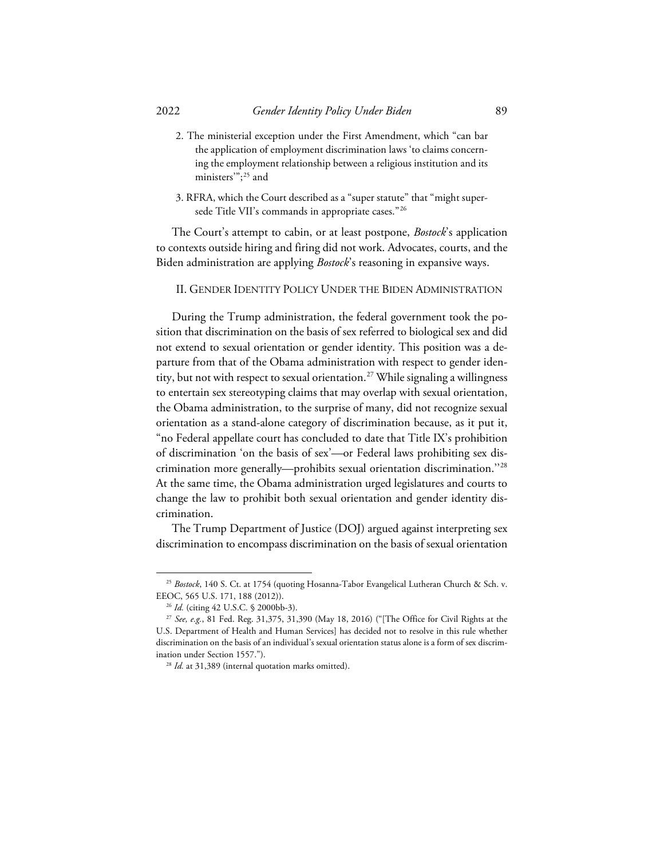- 2. The ministerial exception under the First Amendment, which "can bar the application of employment discrimination laws 'to claims concerning the employment relationship between a religious institution and its ministers'"; [25](#page-4-0) and
- 3. RFRA, which the Court described as a "super statute" that "might super-sede Title VII's commands in appropriate cases."<sup>[26](#page-4-1)</sup>

The Court's attempt to cabin, or at least postpone, *Bostock*'s application to contexts outside hiring and firing did not work. Advocates, courts, and the Biden administration are applying *Bostock*'s reasoning in expansive ways.

II. GENDER IDENTITY POLICY UNDER THE BIDEN ADMINISTRATION

During the Trump administration, the federal government took the position that discrimination on the basis of sex referred to biological sex and did not extend to sexual orientation or gender identity. This position was a departure from that of the Obama administration with respect to gender iden-tity, but not with respect to sexual orientation.<sup>[27](#page-4-2)</sup> While signaling a willingness to entertain sex stereotyping claims that may overlap with sexual orientation, the Obama administration, to the surprise of many, did not recognize sexual orientation as a stand-alone category of discrimination because, as it put it, "no Federal appellate court has concluded to date that Title IX's prohibition of discrimination 'on the basis of sex'—or Federal laws prohibiting sex discrimination more generally—prohibits sexual orientation discrimination.''[28](#page-4-3) At the same time, the Obama administration urged legislatures and courts to change the law to prohibit both sexual orientation and gender identity discrimination.

The Trump Department of Justice (DOJ) argued against interpreting sex discrimination to encompass discrimination on the basis of sexual orientation

<span id="page-4-0"></span><sup>25</sup> *Bostock*, 140 S. Ct. at 1754 (quoting Hosanna-Tabor Evangelical Lutheran Church & Sch. v. EEOC, 565 U.S. 171, 188 (2012)).

<sup>26</sup> *Id.* (citing 42 U.S.C. § 2000bb-3).

<span id="page-4-3"></span><span id="page-4-2"></span><span id="page-4-1"></span><sup>27</sup> *See, e.g.*, 81 Fed. Reg. 31,375, 31,390 (May 18, 2016) ("[The Office for Civil Rights at the U.S. Department of Health and Human Services] has decided not to resolve in this rule whether discrimination on the basis of an individual's sexual orientation status alone is a form of sex discrimination under Section 1557.").

<sup>&</sup>lt;sup>28</sup> *Id.* at 31,389 (internal quotation marks omitted).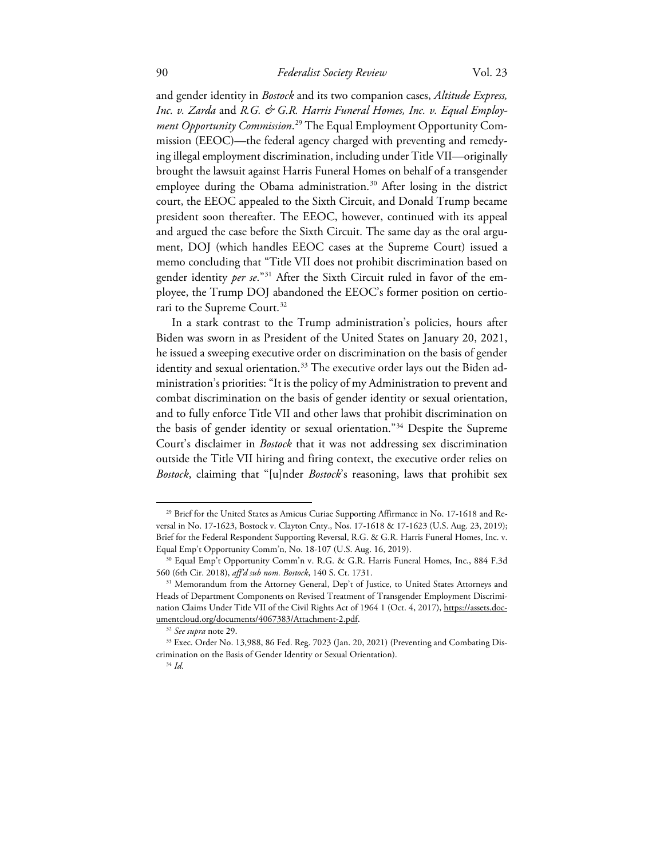and gender identity in *Bostock* and its two companion cases, *Altitude Express, Inc. v. Zarda* and *R.G. & G.R. Harris Funeral Homes, Inc. v. Equal Employment Opportunity Commission*. [29](#page-5-0) The Equal Employment Opportunity Commission (EEOC)—the federal agency charged with preventing and remedying illegal employment discrimination, including under Title VII—originally brought the lawsuit against Harris Funeral Homes on behalf of a transgender employee during the Obama administration. [30](#page-5-1) After losing in the district court, the EEOC appealed to the Sixth Circuit, and Donald Trump became president soon thereafter. The EEOC, however, continued with its appeal and argued the case before the Sixth Circuit. The same day as the oral argument, DOJ (which handles EEOC cases at the Supreme Court) issued a memo concluding that "Title VII does not prohibit discrimination based on gender identity *per se*.["31](#page-5-2) After the Sixth Circuit ruled in favor of the employee, the Trump DOJ abandoned the EEOC's former position on certiorari to the Supreme Court. [32](#page-5-3)

In a stark contrast to the Trump administration's policies, hours after Biden was sworn in as President of the United States on January 20, 2021, he issued a sweeping executive order on discrimination on the basis of gender identity and sexual orientation.<sup>[33](#page-5-4)</sup> The executive order lays out the Biden administration's priorities: "It is the policy of my Administration to prevent and combat discrimination on the basis of gender identity or sexual orientation, and to fully enforce Title VII and other laws that prohibit discrimination on the basis of gender identity or sexual orientation."[34](#page-5-5) Despite the Supreme Court's disclaimer in *Bostock* that it was not addressing sex discrimination outside the Title VII hiring and firing context, the executive order relies on *Bostock*, claiming that "[u]nder *Bostock*'s reasoning, laws that prohibit sex

<span id="page-5-0"></span><sup>&</sup>lt;sup>29</sup> Brief for the United States as Amicus Curiae Supporting Affirmance in No. 17-1618 and Reversal in No. 17-1623, Bostock v. Clayton Cnty., Nos. 17-1618 & 17-1623 (U.S. Aug. 23, 2019); Brief for the Federal Respondent Supporting Reversal, R.G. & G.R. Harris Funeral Homes, Inc. v. Equal Emp't Opportunity Comm'n, No. 18-107 (U.S. Aug. 16, 2019).

<span id="page-5-1"></span><sup>&</sup>lt;sup>30</sup> Equal Emp't Opportunity Comm'n v. R.G. & G.R. Harris Funeral Homes, Inc., 884 F.3d 560 (6th Cir. 2018), *aff'd sub nom. Bostock*, 140 S. Ct. 1731.

<span id="page-5-2"></span><sup>&</sup>lt;sup>31</sup> Memorandum from the Attorney General, Dep't of Justice, to United States Attorneys and Heads of Department Components on Revised Treatment of Transgender Employment Discrimination Claims Under Title VII of the Civil Rights Act of 1964 1 (Oct. 4, 2017), https://assets.documentcloud.org/documents/4067383/Attachment-2.pdf.

<sup>32</sup> *See supra* note 29.

<span id="page-5-5"></span><span id="page-5-4"></span><span id="page-5-3"></span><sup>33</sup> Exec. Order No. 13,988, 86 Fed. Reg. 7023 (Jan. 20, 2021) (Preventing and Combating Discrimination on the Basis of Gender Identity or Sexual Orientation).

<sup>34</sup> *Id.*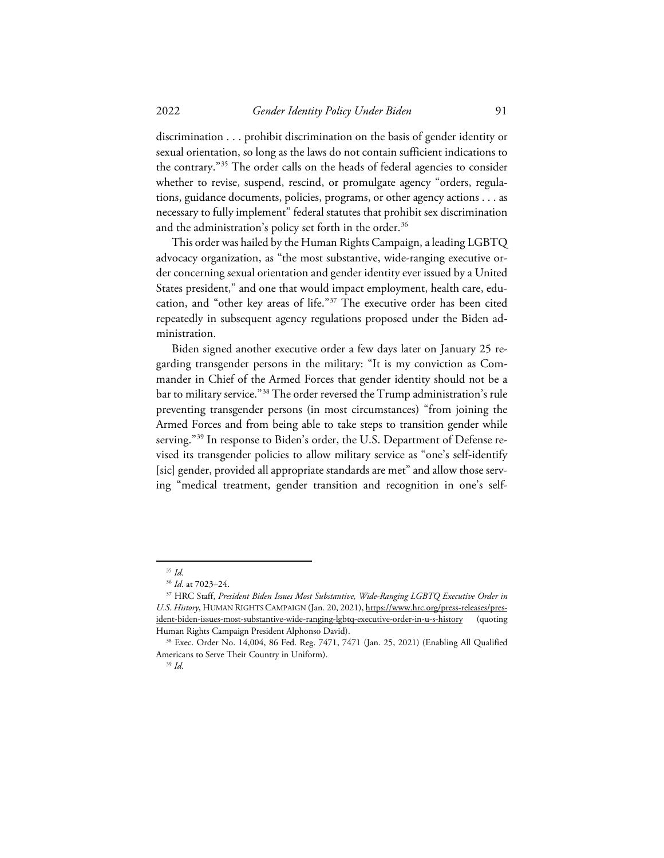discrimination . . . prohibit discrimination on the basis of gender identity or sexual orientation, so long as the laws do not contain sufficient indications to the contrary."[35](#page-6-0) The order calls on the heads of federal agencies to consider whether to revise, suspend, rescind, or promulgate agency "orders, regulations, guidance documents, policies, programs, or other agency actions . . . as necessary to fully implement" federal statutes that prohibit sex discrimination and the administration's policy set forth in the order.<sup>[36](#page-6-1)</sup>

This order was hailed by the Human Rights Campaign, a leading LGBTQ advocacy organization, as "the most substantive, wide-ranging executive order concerning sexual orientation and gender identity ever issued by a United States president," and one that would impact employment, health care, education, and "other key areas of life."[37](#page-6-2) The executive order has been cited repeatedly in subsequent agency regulations proposed under the Biden administration.

Biden signed another executive order a few days later on January 25 regarding transgender persons in the military: "It is my conviction as Commander in Chief of the Armed Forces that gender identity should not be a bar to military service."[38](#page-6-3) The order reversed the Trump administration's rule preventing transgender persons (in most circumstances) "from joining the Armed Forces and from being able to take steps to transition gender while serving."<sup>[39](#page-6-4)</sup> In response to Biden's order, the U.S. Department of Defense revised its transgender policies to allow military service as "one's self-identify [sic] gender, provided all appropriate standards are met" and allow those serving "medical treatment, gender transition and recognition in one's self-

<sup>35</sup> *Id.*

<sup>36</sup> *Id.* at 7023–24.

<span id="page-6-2"></span><span id="page-6-1"></span><span id="page-6-0"></span><sup>37</sup> HRC Staff, *President Biden Issues Most Substantive, Wide-Ranging LGBTQ Executive Order in U.S. History*, HUMAN RIGHTS CAMPAIGN (Jan. 20, 2021), https://www.hrc.org/press-releases/president-biden-issues-most-substantive-wide-ranging-lgbtq-executive-order-in-u-s-history (quoting Human Rights Campaign President Alphonso David).

<span id="page-6-4"></span><span id="page-6-3"></span><sup>38</sup> Exec. Order No. 14,004, 86 Fed. Reg. 7471, 7471 (Jan. 25, 2021) (Enabling All Qualified Americans to Serve Their Country in Uniform).

<sup>39</sup> *Id.*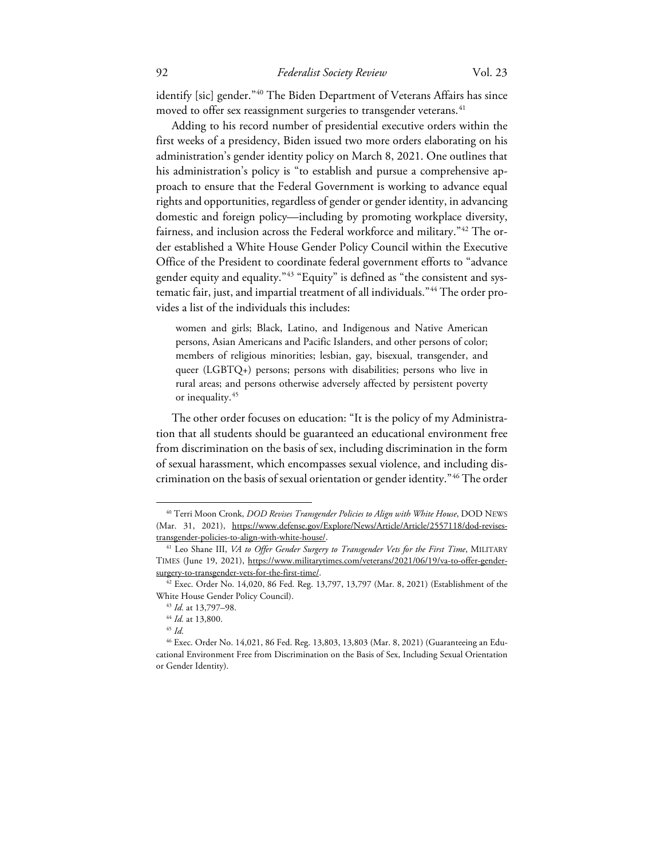identify [sic] gender."<sup>[40](#page-7-0)</sup> The Biden Department of Veterans Affairs has since moved to offer sex reassignment surgeries to transgender veterans. $^{\rm 41}$  $^{\rm 41}$  $^{\rm 41}$ 

Adding to his record number of presidential executive orders within the first weeks of a presidency, Biden issued two more orders elaborating on his administration's gender identity policy on March 8, 2021. One outlines that his administration's policy is "to establish and pursue a comprehensive approach to ensure that the Federal Government is working to advance equal rights and opportunities, regardless of gender or gender identity, in advancing domestic and foreign policy—including by promoting workplace diversity, fairness, and inclusion across the Federal workforce and military."[42](#page-7-2) The order established a White House Gender Policy Council within the Executive Office of the President to coordinate federal government efforts to "advance gender equity and equality."<sup>[43](#page-7-3)</sup> "Equity" is defined as "the consistent and sys-tematic fair, just, and impartial treatment of all individuals."<sup>[44](#page-7-4)</sup> The order provides a list of the individuals this includes:

women and girls; Black, Latino, and Indigenous and Native American persons, Asian Americans and Pacific Islanders, and other persons of color; members of religious minorities; lesbian, gay, bisexual, transgender, and queer (LGBTQ+) persons; persons with disabilities; persons who live in rural areas; and persons otherwise adversely affected by persistent poverty or inequality.[45](#page-7-5)

The other order focuses on education: "It is the policy of my Administration that all students should be guaranteed an educational environment free from discrimination on the basis of sex, including discrimination in the form of sexual harassment, which encompasses sexual violence, and including discrimination on the basis of sexual orientation or gender identity."[46](#page-7-6) The order

<span id="page-7-0"></span><sup>40</sup> Terri Moon Cronk, *DOD Revises Transgender Policies to Align with White House*, DOD NEWS (Mar. 31, 2021), https://www.defense.gov/Explore/News/Article/Article/2557118/dod-revisestransgender-policies-to-align-with-white-house/.

<span id="page-7-1"></span><sup>41</sup> Leo Shane III, *VA to Offer Gender Surgery to Transgender Vets for the First Time*, MILITARY TIMES (June 19, 2021), https://www.militarytimes.com/veterans/2021/06/19/va-to-offer-gendersurgery-to-transgender-vets-for-the-first-time/.

<span id="page-7-3"></span><span id="page-7-2"></span> $42$  Exec. Order No. 14,020, 86 Fed. Reg. 13,797, 13,797 (Mar. 8, 2021) (Establishment of the White House Gender Policy Council).

<sup>43</sup> *Id.* at 13,797–98.

<sup>44</sup> *Id.* at 13,800.

<sup>45</sup> *Id.*

<span id="page-7-6"></span><span id="page-7-5"></span><span id="page-7-4"></span><sup>46</sup> Exec. Order No. 14,021, 86 Fed. Reg. 13,803, 13,803 (Mar. 8, 2021) (Guaranteeing an Educational Environment Free from Discrimination on the Basis of Sex, Including Sexual Orientation or Gender Identity).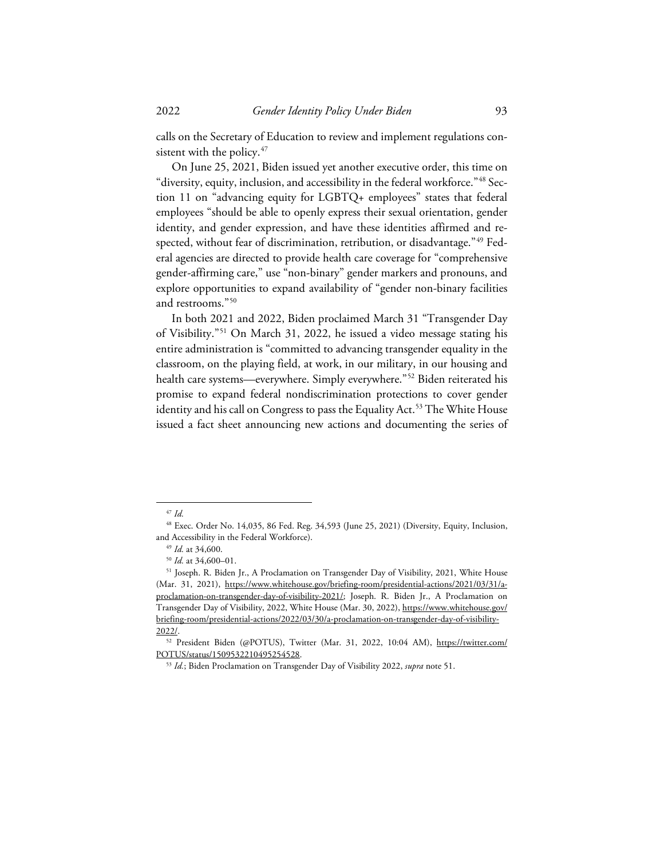calls on the Secretary of Education to review and implement regulations con-sistent with the policy.<sup>[47](#page-8-0)</sup>

On June 25, 2021, Biden issued yet another executive order, this time on "diversity, equity, inclusion, and accessibility in the federal workforce."[48](#page-8-1) Section 11 on "advancing equity for LGBTQ+ employees" states that federal employees "should be able to openly express their sexual orientation, gender identity, and gender expression, and have these identities affirmed and re-spected, without fear of discrimination, retribution, or disadvantage."<sup>[49](#page-8-2)</sup> Federal agencies are directed to provide health care coverage for "comprehensive gender-affirming care," use "non-binary" gender markers and pronouns, and explore opportunities to expand availability of "gender non-binary facilities and restrooms."[50](#page-8-3)

In both 2021 and 2022, Biden proclaimed March 31 "Transgender Day of Visibility."[51](#page-8-4) On March 31, 2022, he issued a video message stating his entire administration is "committed to advancing transgender equality in the classroom, on the playing field, at work, in our military, in our housing and health care systems—everywhere. Simply everywhere."<sup>[52](#page-8-5)</sup> Biden reiterated his promise to expand federal nondiscrimination protections to cover gender identity and his call on Congress to pass the Equality Act.<sup>[53](#page-8-6)</sup> The White House issued a fact sheet announcing new actions and documenting the series of

<sup>47</sup> *Id.*

<span id="page-8-2"></span><span id="page-8-1"></span><span id="page-8-0"></span><sup>48</sup> Exec. Order No. 14,035, 86 Fed. Reg. 34,593 (June 25, 2021) (Diversity, Equity, Inclusion, and Accessibility in the Federal Workforce).

<sup>49</sup> *Id.* at 34,600.

<sup>50</sup> *Id.* at 34,600–01.

<span id="page-8-4"></span><span id="page-8-3"></span><sup>51</sup> Joseph. R. Biden Jr., A Proclamation on Transgender Day of Visibility, 2021, White House (Mar. 31, 2021), https://www.whitehouse.gov/briefing-room/presidential-actions/2021/03/31/aproclamation-on-transgender-day-of-visibility-2021/; Joseph. R. Biden Jr., A Proclamation on Transgender Day of Visibility, 2022, White House (Mar. 30, 2022), https://www.whitehouse.gov/ briefing-room/presidential-actions/2022/03/30/a-proclamation-on-transgender-day-of-visibility-2022/.

<span id="page-8-6"></span><span id="page-8-5"></span><sup>&</sup>lt;sup>52</sup> President Biden (@POTUS), Twitter (Mar. 31, 2022, 10:04 AM), https://twitter.com/ POTUS/status/1509532210495254528. 53 *Id.*; Biden Proclamation on Transgender Day of Visibility 2022, *supra* note 51.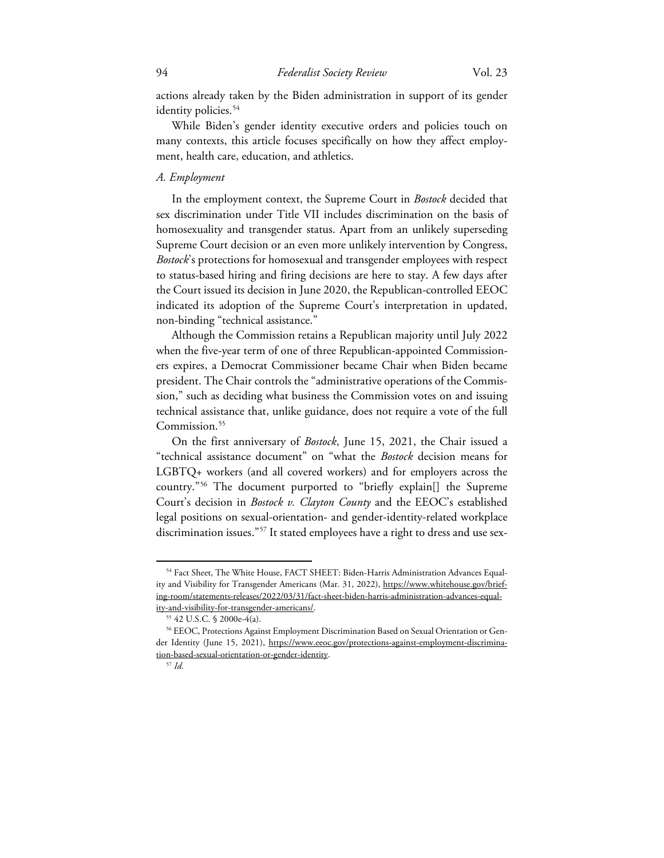actions already taken by the Biden administration in support of its gender identity policies.<sup>[54](#page-9-0)</sup>

While Biden's gender identity executive orders and policies touch on many contexts, this article focuses specifically on how they affect employment, health care, education, and athletics.

## *A. Employment*

In the employment context, the Supreme Court in *Bostock* decided that sex discrimination under Title VII includes discrimination on the basis of homosexuality and transgender status. Apart from an unlikely superseding Supreme Court decision or an even more unlikely intervention by Congress, *Bostock*'s protections for homosexual and transgender employees with respect to status-based hiring and firing decisions are here to stay. A few days after the Court issued its decision in June 2020, the Republican-controlled EEOC indicated its adoption of the Supreme Court's interpretation in updated, non-binding "technical assistance."

Although the Commission retains a Republican majority until July 2022 when the five-year term of one of three Republican-appointed Commissioners expires, a Democrat Commissioner became Chair when Biden became president. The Chair controls the "administrative operations of the Commission," such as deciding what business the Commission votes on and issuing technical assistance that, unlike guidance, does not require a vote of the full Commission.<sup>[55](#page-9-1)</sup>

On the first anniversary of *Bostock*, June 15, 2021, the Chair issued a "technical assistance document" on "what the *Bostock* decision means for LGBTQ+ workers (and all covered workers) and for employers across the country."[56](#page-9-2) The document purported to "briefly explain[] the Supreme Court's decision in *Bostock v. Clayton County* and the EEOC's established legal positions on sexual-orientation- and gender-identity-related workplace discrimination issues."[57](#page-9-3) It stated employees have a right to dress and use sex-

<span id="page-9-0"></span><sup>54</sup> Fact Sheet, The White House, FACT SHEET: Biden-Harris Administration Advances Equality and Visibility for Transgender Americans (Mar. 31, 2022), https://www.whitehouse.gov/briefing-room/statements-releases/2022/03/31/fact-sheet-biden-harris-administration-advances-equal-

<span id="page-9-1"></span>ity-and-visibility-for-transgender-americans/.

<sup>55</sup> 42 U.S.C. § 2000e-4(a).

<span id="page-9-3"></span><span id="page-9-2"></span><sup>56</sup> EEOC, Protections Against Employment Discrimination Based on Sexual Orientation or Gender Identity (June 15, 2021), https://www.eeoc.gov/protections-against-employment-discrimination-based-sexual-orientation-or-gender-identity. 57 *Id.*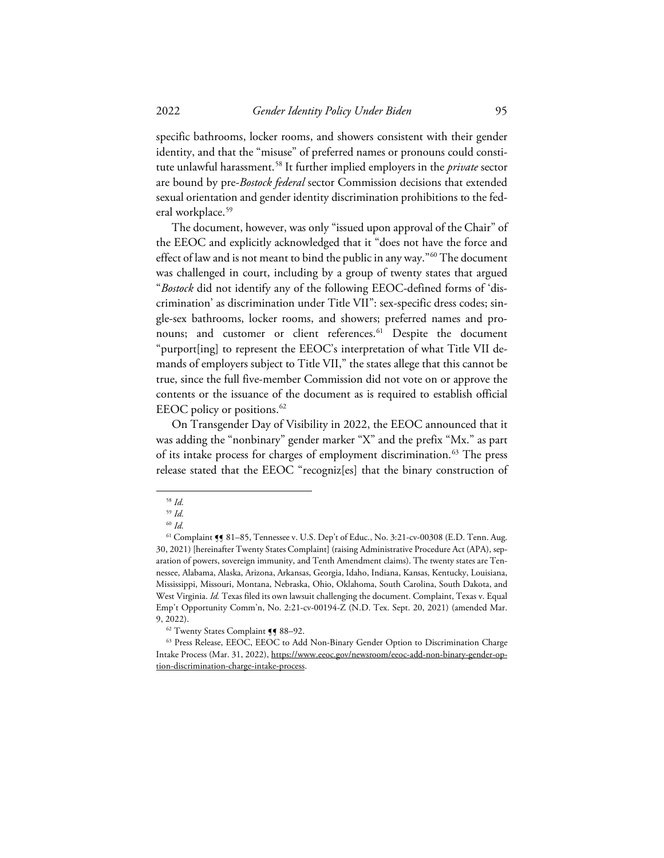specific bathrooms, locker rooms, and showers consistent with their gender identity, and that the "misuse" of preferred names or pronouns could constitute unlawful harassment.[58](#page-10-0) It further implied employers in the *private* sector are bound by pre-*Bostock federal* sector Commission decisions that extended sexual orientation and gender identity discrimination prohibitions to the federal workplace. [59](#page-10-1)

The document, however, was only "issued upon approval of the Chair" of the EEOC and explicitly acknowledged that it "does not have the force and effect of law and is not meant to bind the public in any way."[60](#page-10-2) The document was challenged in court, including by a group of twenty states that argued "*Bostock* did not identify any of the following EEOC-defined forms of 'discrimination' as discrimination under Title VII": sex-specific dress codes; single-sex bathrooms, locker rooms, and showers; preferred names and pro-nouns; and customer or client references.<sup>[61](#page-10-3)</sup> Despite the document "purport[ing] to represent the EEOC's interpretation of what Title VII demands of employers subject to Title VII," the states allege that this cannot be true, since the full five-member Commission did not vote on or approve the contents or the issuance of the document as is required to establish official EEOC policy or positions. [62](#page-10-4)

On Transgender Day of Visibility in 2022, the EEOC announced that it was adding the "nonbinary" gender marker "X" and the prefix "Mx." as part of its intake process for charges of employment discrimination. [63](#page-10-5) The press release stated that the EEOC "recogniz[es] that the binary construction of

<sup>58</sup> *Id.*

<sup>59</sup> *Id.*

<sup>60</sup> *Id.*

<span id="page-10-3"></span><span id="page-10-2"></span><span id="page-10-1"></span><span id="page-10-0"></span><sup>61</sup> Complaint ¶¶ 81–85, Tennessee v. U.S. Dep't of Educ., No. 3:21-cv-00308 (E.D. Tenn. Aug. 30, 2021) [hereinafter Twenty States Complaint] (raising Administrative Procedure Act (APA), separation of powers, sovereign immunity, and Tenth Amendment claims). The twenty states are Tennessee, Alabama, Alaska, Arizona, Arkansas, Georgia, Idaho, Indiana, Kansas, Kentucky, Louisiana, Mississippi, Missouri, Montana, Nebraska, Ohio, Oklahoma, South Carolina, South Dakota, and West Virginia. *Id.* Texas filed its own lawsuit challenging the document. Complaint, Texas v. Equal Emp't Opportunity Comm'n, No. 2:21-cv-00194-Z (N.D. Tex. Sept. 20, 2021) (amended Mar. 9, 2022).

<sup>&</sup>lt;sup>62</sup> Twenty States Complaint **[**¶ 88-92.

<span id="page-10-5"></span><span id="page-10-4"></span><sup>63</sup> Press Release, EEOC, EEOC to Add Non-Binary Gender Option to Discrimination Charge Intake Process (Mar. 31, 2022), https://www.eeoc.gov/newsroom/eeoc-add-non-binary-gender-option-discrimination-charge-intake-process.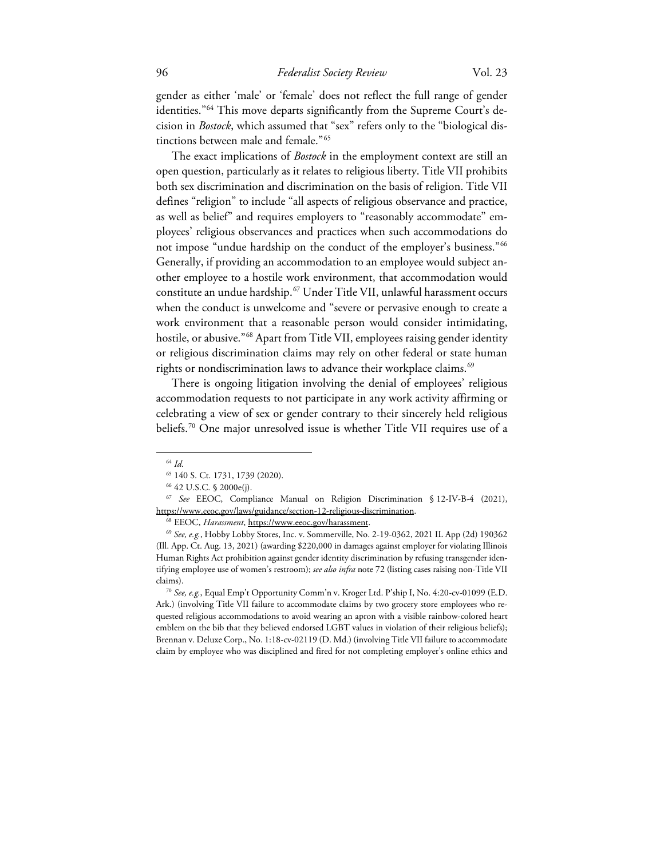gender as either 'male' or 'female' does not reflect the full range of gender identities."<sup>[64](#page-11-0)</sup> This move departs significantly from the Supreme Court's decision in *Bostock*, which assumed that "sex" refers only to the "biological distinctions between male and female."[65](#page-11-1)

The exact implications of *Bostock* in the employment context are still an open question, particularly as it relates to religious liberty. Title VII prohibits both sex discrimination and discrimination on the basis of religion. Title VII defines "religion" to include "all aspects of religious observance and practice, as well as belief" and requires employers to "reasonably accommodate" employees' religious observances and practices when such accommodations do not impose "undue hardship on the conduct of the employer's business."<sup>[66](#page-11-2)</sup> Generally, if providing an accommodation to an employee would subject another employee to a hostile work environment, that accommodation would constitute an undue hardship.[67](#page-11-3) Under Title VII, unlawful harassment occurs when the conduct is unwelcome and "severe or pervasive enough to create a work environment that a reasonable person would consider intimidating, hostile, or abusive."<sup>[68](#page-11-4)</sup> Apart from Title VII, employees raising gender identity or religious discrimination claims may rely on other federal or state human rights or nondiscrimination laws to advance their workplace claims.<sup>[69](#page-11-5)</sup>

There is ongoing litigation involving the denial of employees' religious accommodation requests to not participate in any work activity affirming or celebrating a view of sex or gender contrary to their sincerely held religious beliefs.[70](#page-11-6) One major unresolved issue is whether Title VII requires use of a

<sup>64</sup> *Id.*

<sup>65</sup> 140 S. Ct. 1731, 1739 (2020).

<sup>66</sup> 42 U.S.C. § 2000e(j).

<span id="page-11-3"></span><span id="page-11-2"></span><span id="page-11-1"></span><span id="page-11-0"></span><sup>67</sup> *See* EEOC, Compliance Manual on Religion Discrimination § 12-IV-B-4 (2021), https://www.eeoc.gov/laws/guidance/section-12-religious-discrimination.

<sup>68</sup> EEOC, *Harassment*, https://www.eeoc.gov/harassment.

<span id="page-11-5"></span><span id="page-11-4"></span><sup>69</sup> *See, e.g.*, Hobby Lobby Stores, Inc. v. Sommerville, No. 2-19-0362, 2021 IL App (2d) 190362 (Ill. App. Ct. Aug. 13, 2021) (awarding \$220,000 in damages against employer for violating Illinois Human Rights Act prohibition against gender identity discrimination by refusing transgender identifying employee use of women's restroom); *see also infra* note [72](#page-12-0) (listing cases raising non-Title VII claims).

<span id="page-11-6"></span><sup>70</sup> *See, e.g.*, Equal Emp't Opportunity Comm'n v. Kroger Ltd. P'ship I, No. 4:20-cv-01099 (E.D. Ark.) (involving Title VII failure to accommodate claims by two grocery store employees who requested religious accommodations to avoid wearing an apron with a visible rainbow-colored heart emblem on the bib that they believed endorsed LGBT values in violation of their religious beliefs); Brennan v. Deluxe Corp., No. 1:18-cv-02119 (D. Md.) (involving Title VII failure to accommodate claim by employee who was disciplined and fired for not completing employer's online ethics and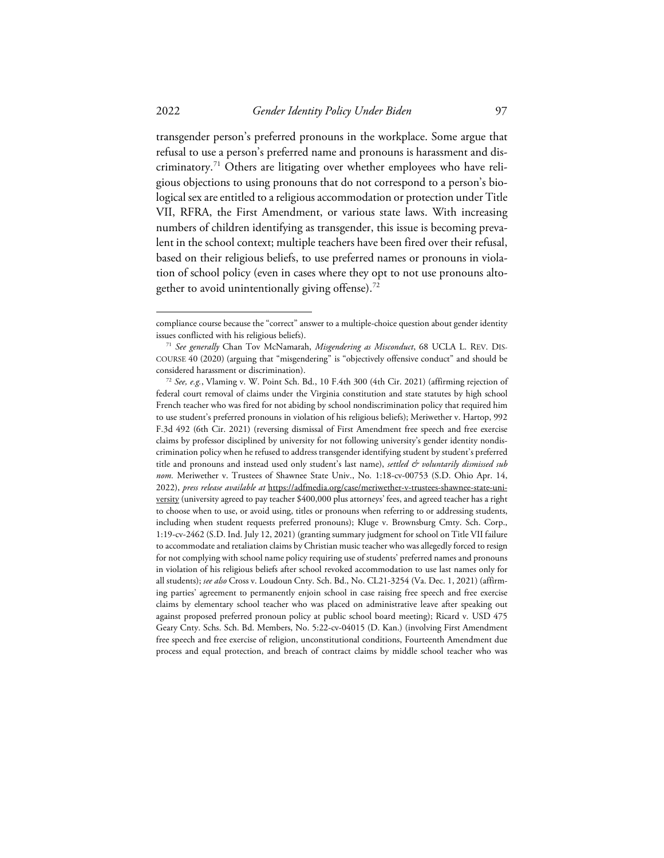transgender person's preferred pronouns in the workplace. Some argue that refusal to use a person's preferred name and pronouns is harassment and discriminatory. [71](#page-12-1) Others are litigating over whether employees who have religious objections to using pronouns that do not correspond to a person's biological sex are entitled to a religious accommodation or protection under Title VII, RFRA, the First Amendment, or various state laws. With increasing numbers of children identifying as transgender, this issue is becoming prevalent in the school context; multiple teachers have been fired over their refusal, based on their religious beliefs, to use preferred names or pronouns in violation of school policy (even in cases where they opt to not use pronouns altogether to avoid unintentionally giving offense). $^{72}$  $^{72}$  $^{72}$ 

<span id="page-12-0"></span>compliance course because the "correct" answer to a multiple-choice question about gender identity issues conflicted with his religious beliefs).

<span id="page-12-1"></span><sup>71</sup> *See generally* Chan Tov McNamarah, *Misgendering as Misconduct*, 68 UCLA L. REV. DIS-COURSE 40 (2020) (arguing that "misgendering" is "objectively offensive conduct" and should be considered harassment or discrimination).

<span id="page-12-2"></span><sup>72</sup> *See, e.g.*, Vlaming v. W. Point Sch. Bd., 10 F.4th 300 (4th Cir. 2021) (affirming rejection of federal court removal of claims under the Virginia constitution and state statutes by high school French teacher who was fired for not abiding by school nondiscrimination policy that required him to use student's preferred pronouns in violation of his religious beliefs); Meriwether v. Hartop, 992 F.3d 492 (6th Cir. 2021) (reversing dismissal of First Amendment free speech and free exercise claims by professor disciplined by university for not following university's gender identity nondiscrimination policy when he refused to address transgender identifying student by student's preferred title and pronouns and instead used only student's last name), *settled*  $\acute{\sigma}$  *voluntarily dismissed sub nom.* Meriwether v. Trustees of Shawnee State Univ., No. 1:18-cv-00753 (S.D. Ohio Apr. 14, 2022), *press release available at* https://adfmedia.org/case/meriwether-v-trustees-shawnee-state-university (university agreed to pay teacher \$400,000 plus attorneys' fees, and agreed teacher has a right to choose when to use, or avoid using, titles or pronouns when referring to or addressing students, including when student requests preferred pronouns); Kluge v. Brownsburg Cmty. Sch. Corp., 1:19-cv-2462 (S.D. Ind. July 12, 2021) (granting summary judgment for school on Title VII failure to accommodate and retaliation claims by Christian music teacher who was allegedly forced to resign for not complying with school name policy requiring use of students' preferred names and pronouns in violation of his religious beliefs after school revoked accommodation to use last names only for all students); *see also* Cross v. Loudoun Cnty. Sch. Bd., No. CL21-3254 (Va. Dec. 1, 2021) (affirming parties' agreement to permanently enjoin school in case raising free speech and free exercise claims by elementary school teacher who was placed on administrative leave after speaking out against proposed preferred pronoun policy at public school board meeting); Ricard v. USD 475 Geary Cnty. Schs. Sch. Bd. Members, No. 5:22-cv-04015 (D. Kan.) (involving First Amendment free speech and free exercise of religion, unconstitutional conditions, Fourteenth Amendment due process and equal protection, and breach of contract claims by middle school teacher who was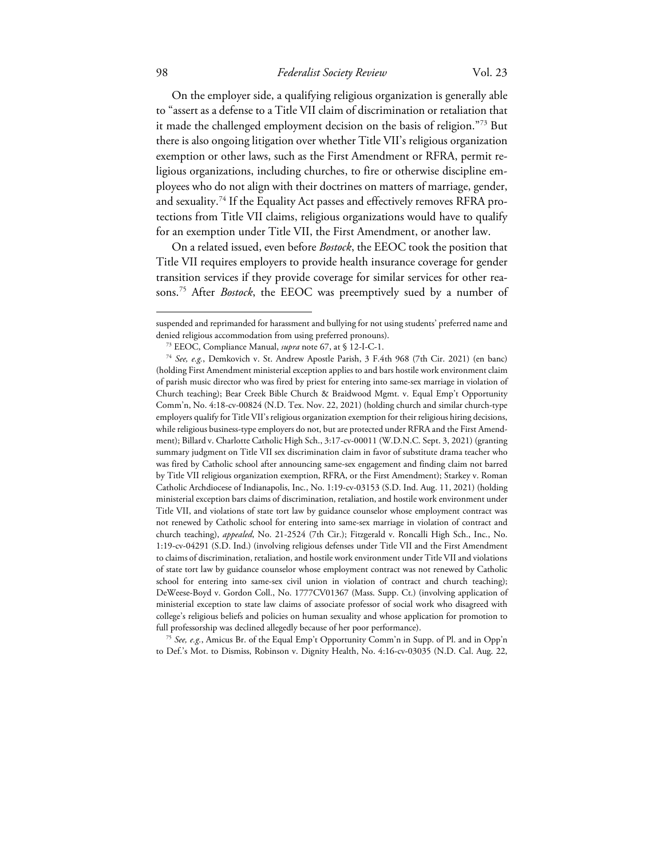On the employer side, a qualifying religious organization is generally able to "assert as a defense to a Title VII claim of discrimination or retaliation that it made the challenged employment decision on the basis of religion."[73](#page-13-0) But there is also ongoing litigation over whether Title VII's religious organization exemption or other laws, such as the First Amendment or RFRA, permit religious organizations, including churches, to fire or otherwise discipline employees who do not align with their doctrines on matters of marriage, gender, and sexuality.<sup>[74](#page-13-1)</sup> If the Equality Act passes and effectively removes RFRA protections from Title VII claims, religious organizations would have to qualify for an exemption under Title VII, the First Amendment, or another law.

On a related issued, even before *Bostock*, the EEOC took the position that Title VII requires employers to provide health insurance coverage for gender transition services if they provide coverage for similar services for other reasons. [75](#page-13-2) After *Bostock*, the EEOC was preemptively sued by a number of

<span id="page-13-2"></span><sup>75</sup> *See, e.g.*, Amicus Br. of the Equal Emp't Opportunity Comm'n in Supp. of Pl. and in Opp'n to Def.'s Mot. to Dismiss, Robinson v. Dignity Health, No. 4:16-cv-03035 (N.D. Cal. Aug. 22,

suspended and reprimanded for harassment and bullying for not using students' preferred name and denied religious accommodation from using preferred pronouns).

<sup>73</sup> EEOC, Compliance Manual, *supra* note 67, at § 12-I-C-1.

<span id="page-13-1"></span><span id="page-13-0"></span><sup>74</sup> *See, e.g.*, Demkovich v. St. Andrew Apostle Parish, 3 F.4th 968 (7th Cir. 2021) (en banc) (holding First Amendment ministerial exception applies to and bars hostile work environment claim of parish music director who was fired by priest for entering into same-sex marriage in violation of Church teaching); Bear Creek Bible Church & Braidwood Mgmt. v. Equal Emp't Opportunity Comm'n, No. 4:18-cv-00824 (N.D. Tex. Nov. 22, 2021) (holding church and similar church-type employers qualify for Title VII's religious organization exemption for their religious hiring decisions, while religious business-type employers do not, but are protected under RFRA and the First Amendment); Billard v. Charlotte Catholic High Sch., 3:17-cv-00011 (W.D.N.C. Sept. 3, 2021) (granting summary judgment on Title VII sex discrimination claim in favor of substitute drama teacher who was fired by Catholic school after announcing same-sex engagement and finding claim not barred by Title VII religious organization exemption, RFRA, or the First Amendment); Starkey v. Roman Catholic Archdiocese of Indianapolis, Inc., No. 1:19-cv-03153 (S.D. Ind. Aug. 11, 2021) (holding ministerial exception bars claims of discrimination, retaliation, and hostile work environment under Title VII, and violations of state tort law by guidance counselor whose employment contract was not renewed by Catholic school for entering into same-sex marriage in violation of contract and church teaching), *appealed*, No. 21-2524 (7th Cir.); Fitzgerald v. Roncalli High Sch., Inc., No. 1:19-cv-04291 (S.D. Ind.) (involving religious defenses under Title VII and the First Amendment to claims of discrimination, retaliation, and hostile work environment under Title VII and violations of state tort law by guidance counselor whose employment contract was not renewed by Catholic school for entering into same-sex civil union in violation of contract and church teaching); DeWeese-Boyd v. Gordon Coll., No. 1777CV01367 (Mass. Supp. Ct.) (involving application of ministerial exception to state law claims of associate professor of social work who disagreed with college's religious beliefs and policies on human sexuality and whose application for promotion to full professorship was declined allegedly because of her poor performance).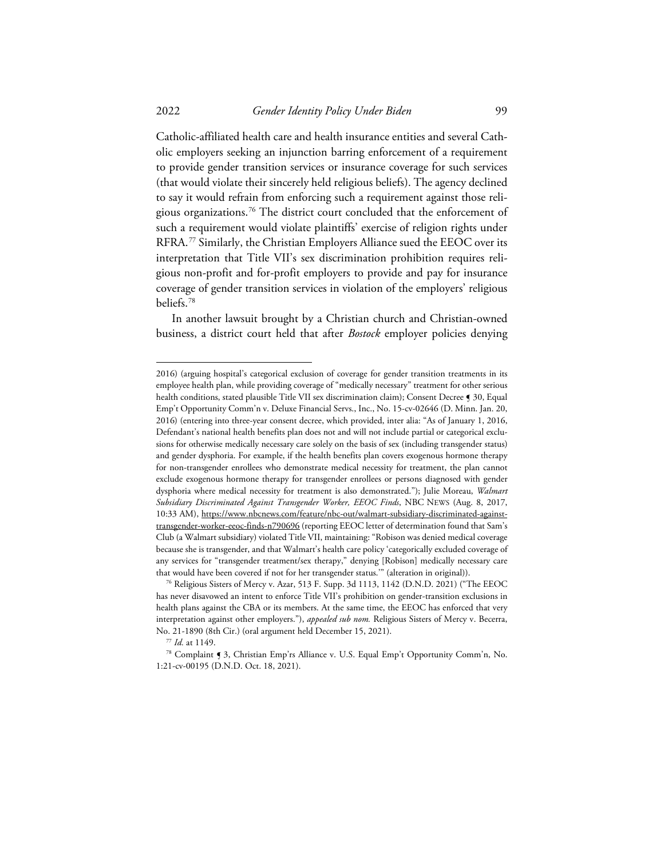Catholic-affiliated health care and health insurance entities and several Catholic employers seeking an injunction barring enforcement of a requirement to provide gender transition services or insurance coverage for such services (that would violate their sincerely held religious beliefs). The agency declined to say it would refrain from enforcing such a requirement against those religious organizations.[76](#page-14-0) The district court concluded that the enforcement of such a requirement would violate plaintiffs' exercise of religion rights under RFRA.<sup>[77](#page-14-1)</sup> Similarly, the Christian Employers Alliance sued the EEOC over its interpretation that Title VII's sex discrimination prohibition requires religious non-profit and for-profit employers to provide and pay for insurance coverage of gender transition services in violation of the employers' religious beliefs. [78](#page-14-2)

In another lawsuit brought by a Christian church and Christian-owned business, a district court held that after *Bostock* employer policies denying

<sup>2016) (</sup>arguing hospital's categorical exclusion of coverage for gender transition treatments in its employee health plan, while providing coverage of "medically necessary" treatment for other serious health conditions, stated plausible Title VII sex discrimination claim); Consent Decree § 30, Equal Emp't Opportunity Comm'n v. Deluxe Financial Servs., Inc., No. 15-cv-02646 (D. Minn. Jan. 20, 2016) (entering into three-year consent decree, which provided, inter alia: "As of January 1, 2016, Defendant's national health benefits plan does not and will not include partial or categorical exclusions for otherwise medically necessary care solely on the basis of sex (including transgender status) and gender dysphoria. For example, if the health benefits plan covers exogenous hormone therapy for non-transgender enrollees who demonstrate medical necessity for treatment, the plan cannot exclude exogenous hormone therapy for transgender enrollees or persons diagnosed with gender dysphoria where medical necessity for treatment is also demonstrated."); Julie Moreau, *Walmart Subsidiary Discriminated Against Transgender Worker, EEOC Finds*, NBC NEWS (Aug. 8, 2017, 10:33 AM), https://www.nbcnews.com/feature/nbc-out/walmart-subsidiary-discriminated-againsttransgender-worker-eeoc-finds-n790696 (reporting EEOC letter of determination found that Sam's Club (a Walmart subsidiary) violated Title VII, maintaining: "Robison was denied medical coverage because she is transgender, and that Walmart's health care policy 'categorically excluded coverage of any services for "transgender treatment/sex therapy," denying [Robison] medically necessary care that would have been covered if not for her transgender status.'" (alteration in original)).

<span id="page-14-0"></span><sup>76</sup> Religious Sisters of Mercy v. Azar, 513 F. Supp. 3d 1113, 1142 (D.N.D. 2021) ("The EEOC has never disavowed an intent to enforce Title VII's prohibition on gender-transition exclusions in health plans against the CBA or its members. At the same time, the EEOC has enforced that very interpretation against other employers."), *appealed sub nom.* Religious Sisters of Mercy v. Becerra, No. 21-1890 (8th Cir.) (oral argument held December 15, 2021).

<sup>77</sup> *Id.* at 1149.

<span id="page-14-2"></span><span id="page-14-1"></span><sup>78</sup> Complaint ¶ 3, Christian Emp'rs Alliance v. U.S. Equal Emp't Opportunity Comm'n, No. 1:21-cv-00195 (D.N.D. Oct. 18, 2021).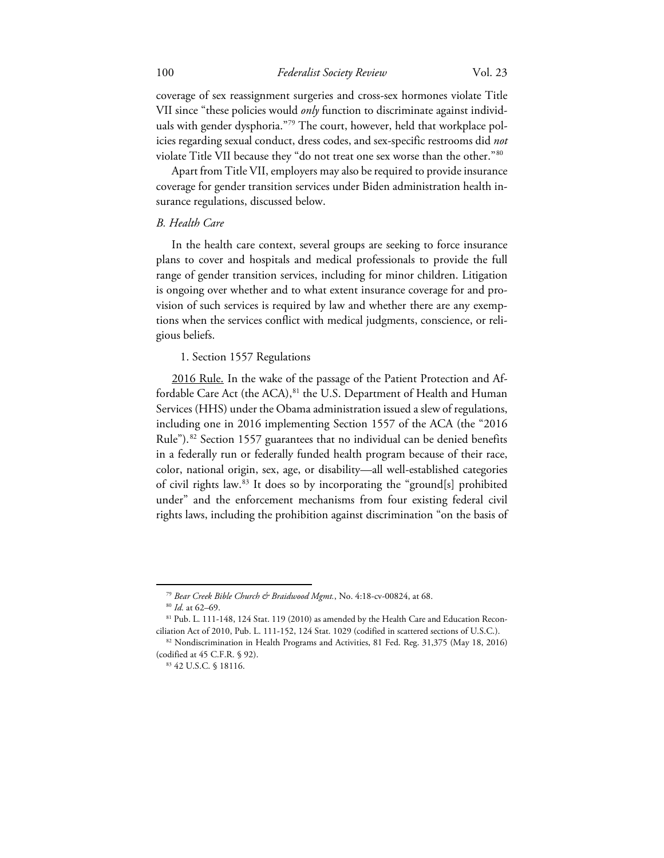coverage of sex reassignment surgeries and cross-sex hormones violate Title VII since "these policies would *only* function to discriminate against individ-uals with gender dysphoria."[79](#page-15-0) The court, however, held that workplace policies regarding sexual conduct, dress codes, and sex-specific restrooms did *not* violate Title VII because they "do not treat one sex worse than the other."[80](#page-15-1)

Apart from Title VII, employers may also be required to provide insurance coverage for gender transition services under Biden administration health insurance regulations, discussed below.

## *B. Health Care*

In the health care context, several groups are seeking to force insurance plans to cover and hospitals and medical professionals to provide the full range of gender transition services, including for minor children. Litigation is ongoing over whether and to what extent insurance coverage for and provision of such services is required by law and whether there are any exemptions when the services conflict with medical judgments, conscience, or religious beliefs.

#### 1. Section 1557 Regulations

2016 Rule. In the wake of the passage of the Patient Protection and Af-fordable Care Act (the ACA), <sup>[81](#page-15-2)</sup> the U.S. Department of Health and Human Services (HHS) under the Obama administration issued a slew of regulations, including one in 2016 implementing Section 1557 of the ACA (the "2016 Rule").<sup>[82](#page-15-3)</sup> Section 1557 guarantees that no individual can be denied benefits in a federally run or federally funded health program because of their race, color, national origin, sex, age, or disability—all well-established categories of civil rights law. [83](#page-15-4) It does so by incorporating the "ground[s] prohibited under" and the enforcement mechanisms from four existing federal civil rights laws, including the prohibition against discrimination "on the basis of

<sup>&</sup>lt;sup>79</sup> Bear Creek Bible Church & Braidwood Mgmt., No. 4:18-cv-00824, at 68.

<sup>80</sup> *Id.* at 62–69.

<span id="page-15-2"></span><span id="page-15-1"></span><span id="page-15-0"></span><sup>81</sup> Pub. L. 111-148, 124 Stat. 119 (2010) as amended by the Health Care and Education Reconciliation Act of 2010, Pub. L. 111-152, 124 Stat. 1029 (codified in scattered sections of U.S.C.).

<span id="page-15-4"></span><span id="page-15-3"></span><sup>82</sup> Nondiscrimination in Health Programs and Activities, 81 Fed. Reg. 31,375 (May 18, 2016) (codified at 45 C.F.R. § 92).

<sup>83</sup> 42 U.S.C. § 18116.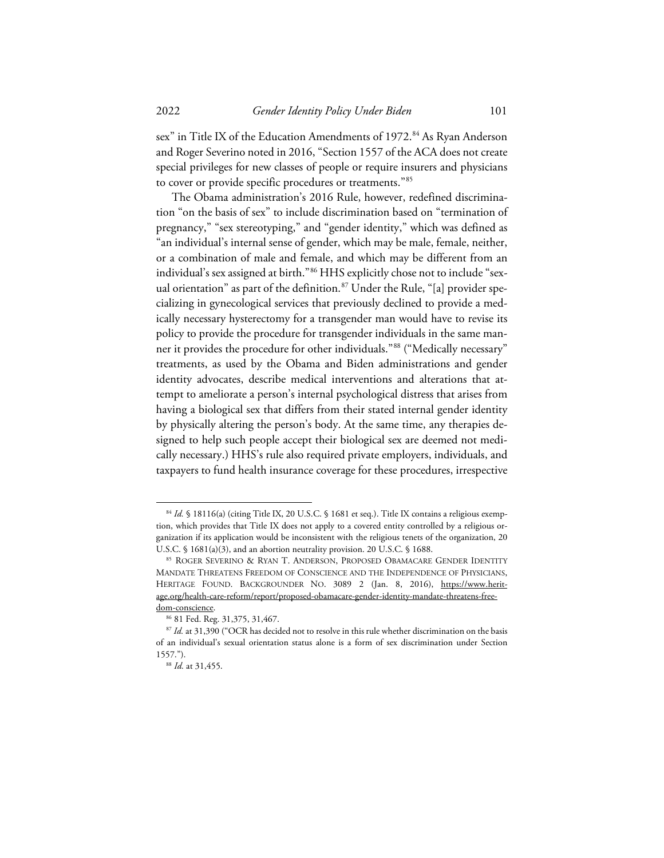sex" in Title IX of the Education Amendments of 1972.<sup>84</sup> As Ryan Anderson and Roger Severino noted in 2016, "Section 1557 of the ACA does not create special privileges for new classes of people or require insurers and physicians to cover or provide specific procedures or treatments."[85](#page-16-1)

The Obama administration's 2016 Rule, however, redefined discrimination "on the basis of sex" to include discrimination based on "termination of pregnancy," "sex stereotyping," and "gender identity," which was defined as "an individual's internal sense of gender, which may be male, female, neither, or a combination of male and female, and which may be different from an individual's sex assigned at birth."[86](#page-16-2) HHS explicitly chose not to include "sexual orientation" as part of the definition. [87](#page-16-3) Under the Rule, "[a] provider specializing in gynecological services that previously declined to provide a medically necessary hysterectomy for a transgender man would have to revise its policy to provide the procedure for transgender individuals in the same manner it provides the procedure for other individuals."[88](#page-16-4) ("Medically necessary" treatments, as used by the Obama and Biden administrations and gender identity advocates, describe medical interventions and alterations that attempt to ameliorate a person's internal psychological distress that arises from having a biological sex that differs from their stated internal gender identity by physically altering the person's body. At the same time, any therapies designed to help such people accept their biological sex are deemed not medically necessary.) HHS's rule also required private employers, individuals, and taxpayers to fund health insurance coverage for these procedures, irrespective

<span id="page-16-0"></span><sup>84</sup> Id. § 18116(a) (citing Title IX, 20 U.S.C. § 1681 et seq.). Title IX contains a religious exemption, which provides that Title IX does not apply to a covered entity controlled by a religious organization if its application would be inconsistent with the religious tenets of the organization, 20 U.S.C. § 1681(a)(3), and an abortion neutrality provision. 20 U.S.C. § 1688.

<span id="page-16-1"></span><sup>85</sup> ROGER SEVERINO & RYAN T. ANDERSON, PROPOSED OBAMACARE GENDER IDENTITY MANDATE THREATENS FREEDOM OF CONSCIENCE AND THE INDEPENDENCE OF PHYSICIANS, HERITAGE FOUND. BACKGROUNDER NO. 3089 2 (Jan. 8, 2016), https://www.heritage.org/health-care-reform/report/proposed-obamacare-gender-identity-mandate-threatens-freedom-conscience.

<sup>86</sup> 81 Fed. Reg. 31,375, 31,467.

<span id="page-16-4"></span><span id="page-16-3"></span><span id="page-16-2"></span><sup>&</sup>lt;sup>87</sup> Id. at 31,390 ("OCR has decided not to resolve in this rule whether discrimination on the basis of an individual's sexual orientation status alone is a form of sex discrimination under Section 1557.").

<sup>88</sup> *Id.* at 31,455.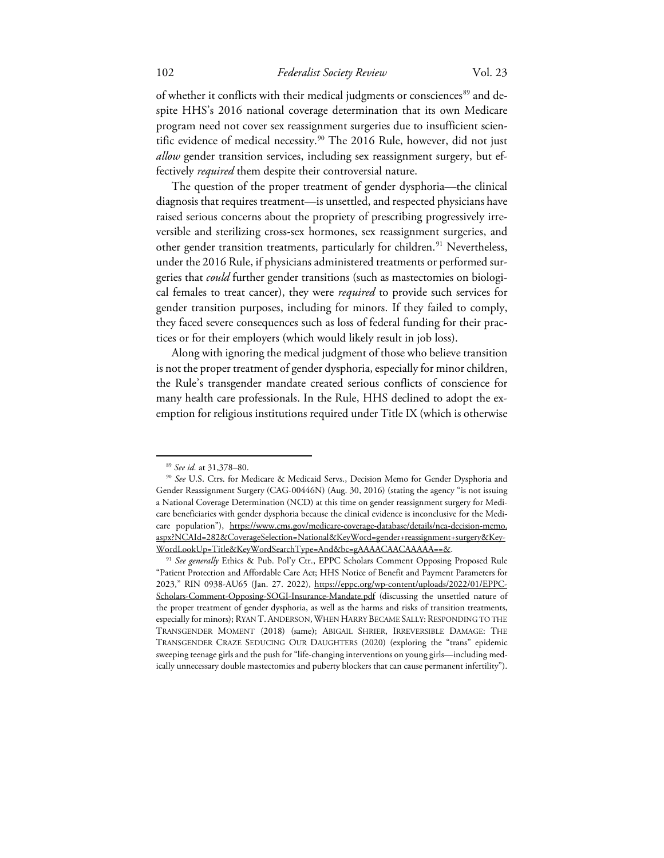of whether it conflicts with their medical judgments or consciences<sup>[89](#page-17-0)</sup> and despite HHS's 2016 national coverage determination that its own Medicare program need not cover sex reassignment surgeries due to insufficient scien-tific evidence of medical necessity.<sup>[90](#page-17-1)</sup> The 2016 Rule, however, did not just *allow* gender transition services, including sex reassignment surgery, but effectively *required* them despite their controversial nature.

The question of the proper treatment of gender dysphoria—the clinical diagnosis that requires treatment—is unsettled, and respected physicians have raised serious concerns about the propriety of prescribing progressively irreversible and sterilizing cross-sex hormones, sex reassignment surgeries, and other gender transition treatments, particularly for children. [91](#page-17-2) Nevertheless, under the 2016 Rule, if physicians administered treatments or performed surgeries that *could* further gender transitions (such as mastectomies on biological females to treat cancer), they were *required* to provide such services for gender transition purposes, including for minors. If they failed to comply, they faced severe consequences such as loss of federal funding for their practices or for their employers (which would likely result in job loss).

Along with ignoring the medical judgment of those who believe transition is not the proper treatment of gender dysphoria, especially for minor children, the Rule's transgender mandate created serious conflicts of conscience for many health care professionals. In the Rule, HHS declined to adopt the exemption for religious institutions required under Title IX (which is otherwise

<sup>89</sup> *See id.* at 31,378–80.

<span id="page-17-1"></span><span id="page-17-0"></span><sup>90</sup> *See* U.S. Ctrs. for Medicare & Medicaid Servs., Decision Memo for Gender Dysphoria and Gender Reassignment Surgery (CAG-00446N) (Aug. 30, 2016) (stating the agency "is not issuing a National Coverage Determination (NCD) at this time on gender reassignment surgery for Medicare beneficiaries with gender dysphoria because the clinical evidence is inconclusive for the Medicare population"), https://www.cms.gov/medicare-coverage-database/details/nca-decision-memo. aspx?NCAId=282&CoverageSelection=National&KeyWord=gender+reassignment+surgery&Key-WordLookUp=Title&KeyWordSearchType=And&bc=gAAAACAACAAAAA==&.

<span id="page-17-2"></span><sup>&</sup>lt;sup>91</sup> See generally Ethics & Pub. Pol'y Ctr., EPPC Scholars Comment Opposing Proposed Rule "Patient Protection and Affordable Care Act; HHS Notice of Benefit and Payment Parameters for 2023," RIN 0938-AU65 (Jan. 27. 2022), https://eppc.org/wp-content/uploads/2022/01/EPPC-Scholars-Comment-Opposing-SOGI-Insurance-Mandate.pdf (discussing the unsettled nature of the proper treatment of gender dysphoria, as well as the harms and risks of transition treatments, especially for minors); RYAN T. ANDERSON, WHEN HARRY BECAME SALLY: RESPONDING TO THE TRANSGENDER MOMENT (2018) (same); ABIGAIL SHRIER, IRREVERSIBLE DAMAGE: THE TRANSGENDER CRAZE SEDUCING OUR DAUGHTERS (2020) (exploring the "trans" epidemic sweeping teenage girls and the push for "life-changing interventions on young girls—including medically unnecessary double mastectomies and puberty blockers that can cause permanent infertility").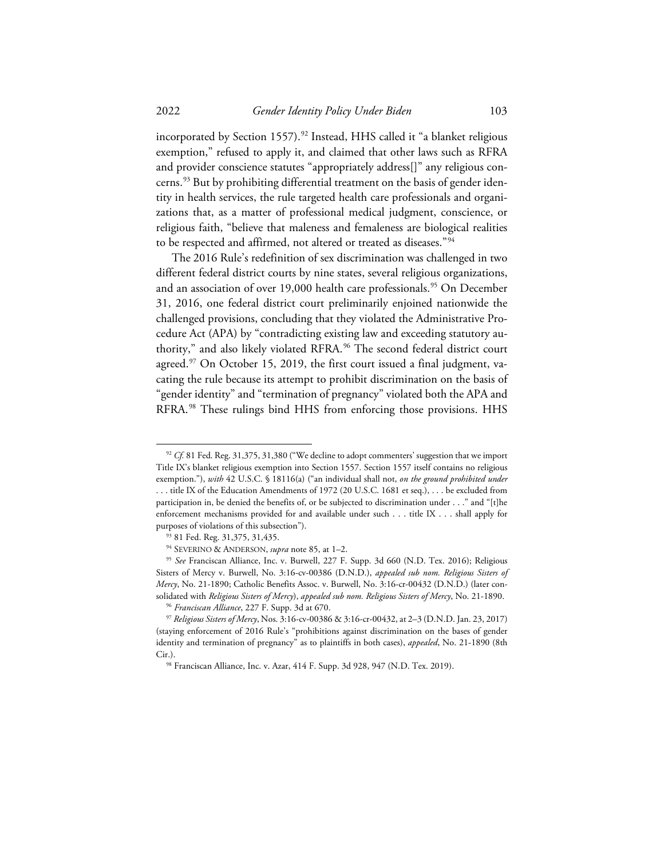incorporated by Section 1557).<sup>[92](#page-18-0)</sup> Instead, HHS called it "a blanket religious exemption," refused to apply it, and claimed that other laws such as RFRA and provider conscience statutes "appropriately address[]" any religious con-cerns.<sup>[93](#page-18-1)</sup> But by prohibiting differential treatment on the basis of gender identity in health services, the rule targeted health care professionals and organizations that, as a matter of professional medical judgment, conscience, or religious faith, "believe that maleness and femaleness are biological realities to be respected and affirmed, not altered or treated as diseases."[94](#page-18-2)

The 2016 Rule's redefinition of sex discrimination was challenged in two different federal district courts by nine states, several religious organizations, and an association of over 19,000 health care professionals.<sup>[95](#page-18-3)</sup> On December 31, 2016, one federal district court preliminarily enjoined nationwide the challenged provisions, concluding that they violated the Administrative Procedure Act (APA) by "contradicting existing law and exceeding statutory authority," and also likely violated RFRA. [96](#page-18-4) The second federal district court agreed.<sup>[97](#page-18-5)</sup> On October 15, 2019, the first court issued a final judgment, vacating the rule because its attempt to prohibit discrimination on the basis of "gender identity" and "termination of pregnancy" violated both the APA and RFRA. [98](#page-18-6) These rulings bind HHS from enforcing those provisions. HHS

<span id="page-18-0"></span><sup>&</sup>lt;sup>92</sup> *Cf.* 81 Fed. Reg. 31,375, 31,380 ("We decline to adopt commenters' suggestion that we import Title IX's blanket religious exemption into Section 1557. Section 1557 itself contains no religious exemption."), *with* 42 U.S.C. § 18116(a) ("an individual shall not, *on the ground prohibited under* . . . title IX of the Education Amendments of 1972 (20 U.S.C. 1681 et seq.), . . . be excluded from participation in, be denied the benefits of, or be subjected to discrimination under . . ." and "[t]he enforcement mechanisms provided for and available under such . . . title IX . . . shall apply for purposes of violations of this subsection").

<sup>93</sup> 81 Fed. Reg. 31,375, 31,435.

<sup>94</sup> SEVERINO & ANDERSON, *supra* note 85, at 1–2.

<span id="page-18-3"></span><span id="page-18-2"></span><span id="page-18-1"></span><sup>95</sup> *See* Franciscan Alliance, Inc. v. Burwell, 227 F. Supp. 3d 660 (N.D. Tex. 2016); Religious Sisters of Mercy v. Burwell, No. 3:16-cv-00386 (D.N.D.), *appealed sub nom. Religious Sisters of Mercy*, No. 21-1890; Catholic Benefits Assoc. v. Burwell, No. 3:16-cr-00432 (D.N.D.) (later consolidated with *Religious Sisters of Mercy*), *appealed sub nom. Religious Sisters of Mercy*, No. 21-1890.

<sup>96</sup> *Franciscan Alliance*, 227 F. Supp. 3d at 670.

<span id="page-18-6"></span><span id="page-18-5"></span><span id="page-18-4"></span><sup>97</sup> *Religious Sisters of Mercy*, Nos. 3:16-cv-00386 & 3:16-cr-00432, at 2–3 (D.N.D. Jan. 23, 2017) (staying enforcement of 2016 Rule's "prohibitions against discrimination on the bases of gender identity and termination of pregnancy" as to plaintiffs in both cases), *appealed*, No. 21-1890 (8th Cir.).

<sup>98</sup> Franciscan Alliance, Inc. v. Azar, 414 F. Supp. 3d 928, 947 (N.D. Tex. 2019).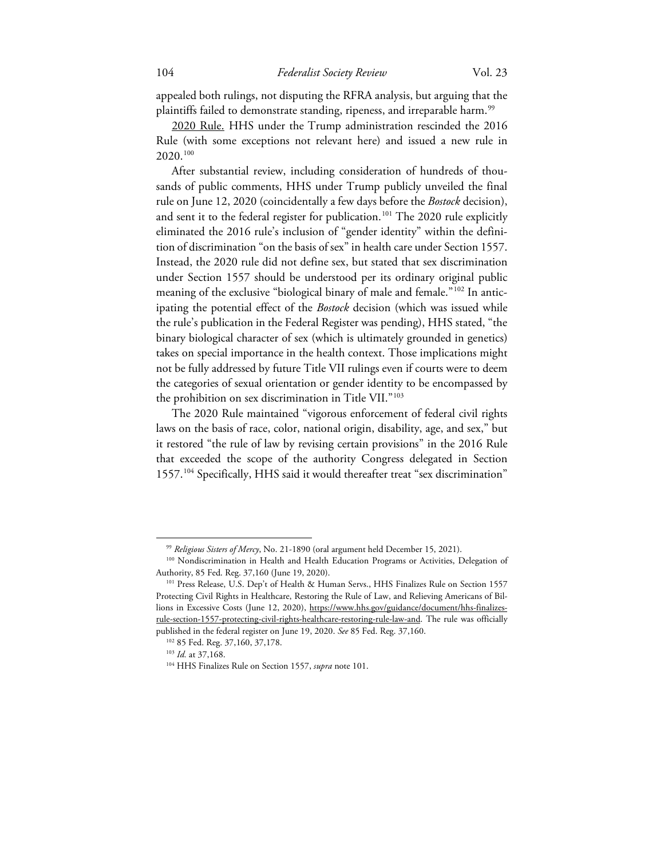appealed both rulings, not disputing the RFRA analysis, but arguing that the plaintiffs failed to demonstrate standing, ripeness, and irreparable harm.<sup>[99](#page-19-0)</sup>

2020 Rule. HHS under the Trump administration rescinded the 2016 Rule (with some exceptions not relevant here) and issued a new rule in 2020. [100](#page-19-1)

After substantial review, including consideration of hundreds of thousands of public comments, HHS under Trump publicly unveiled the final rule on June 12, 2020 (coincidentally a few days before the *Bostock* decision), and sent it to the federal register for publication. [101](#page-19-2) The 2020 rule explicitly eliminated the 2016 rule's inclusion of "gender identity" within the definition of discrimination "on the basis of sex" in health care under Section 1557. Instead, the 2020 rule did not define sex, but stated that sex discrimination under Section 1557 should be understood per its ordinary original public meaning of the exclusive "biological binary of male and female."[102](#page-19-3) In anticipating the potential effect of the *Bostock* decision (which was issued while the rule's publication in the Federal Register was pending), HHS stated, "the binary biological character of sex (which is ultimately grounded in genetics) takes on special importance in the health context. Those implications might not be fully addressed by future Title VII rulings even if courts were to deem the categories of sexual orientation or gender identity to be encompassed by the prohibition on sex discrimination in Title VII."<sup>[103](#page-19-4)</sup>

The 2020 Rule maintained "vigorous enforcement of federal civil rights laws on the basis of race, color, national origin, disability, age, and sex," but it restored "the rule of law by revising certain provisions" in the 2016 Rule that exceeded the scope of the authority Congress delegated in Section 1557.<sup>[104](#page-19-5)</sup> Specifically, HHS said it would thereafter treat "sex discrimination"

<sup>99</sup> *Religious Sisters of Mercy*, No. 21-1890 (oral argument held December 15, 2021).

<span id="page-19-1"></span><span id="page-19-0"></span><sup>&</sup>lt;sup>100</sup> Nondiscrimination in Health and Health Education Programs or Activities, Delegation of Authority, 85 Fed. Reg. 37,160 (June 19, 2020).

<span id="page-19-2"></span><sup>&</sup>lt;sup>101</sup> Press Release, U.S. Dep't of Health & Human Servs., HHS Finalizes Rule on Section 1557 Protecting Civil Rights in Healthcare, Restoring the Rule of Law, and Relieving Americans of Billions in Excessive Costs (June 12, 2020), https://www.hhs.gov/guidance/document/hhs-finalizesrule-section-1557-protecting-civil-rights-healthcare-restoring-rule-law-and. The rule was officially published in the federal register on June 19, 2020. *See* 85 Fed. Reg. 37,160.

<span id="page-19-5"></span><span id="page-19-4"></span><span id="page-19-3"></span><sup>102</sup> 85 Fed. Reg. 37,160, 37,178.

<sup>103</sup> *Id.* at 37,168.

<sup>104</sup> HHS Finalizes Rule on Section 1557, *supra* note 101.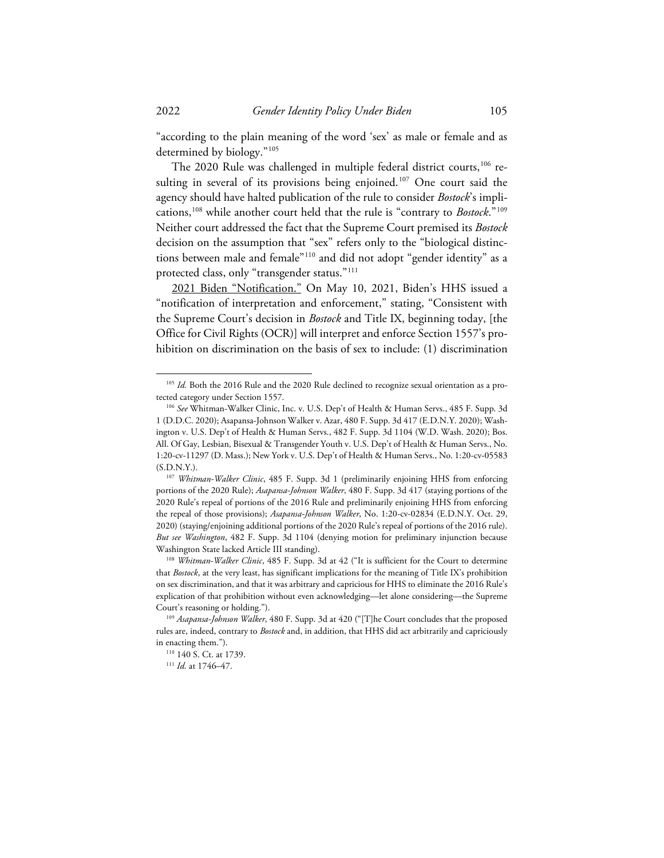"according to the plain meaning of the word 'sex' as male or female and as determined by biology."[105](#page-20-0)

The 2020 Rule was challenged in multiple federal district courts,<sup>[106](#page-20-1)</sup> resulting in several of its provisions being enjoined. [107](#page-20-2) One court said the agency should have halted publication of the rule to consider *Bostock*'s implications, [108](#page-20-3) while another court held that the rule is "contrary to *Bostock*."[109](#page-20-4) Neither court addressed the fact that the Supreme Court premised its *Bostock* decision on the assumption that "sex" refers only to the "biological distinctions between male and female"[110](#page-20-5) and did not adopt "gender identity" as a protected class, only "transgender status."[111](#page-20-6)

2021 Biden "Notification." On May 10, 2021, Biden's HHS issued a "notification of interpretation and enforcement," stating, "Consistent with the Supreme Court's decision in *Bostock* and Title IX, beginning today, [the Office for Civil Rights (OCR)] will interpret and enforce Section 1557's prohibition on discrimination on the basis of sex to include: (1) discrimination

<span id="page-20-0"></span><sup>&</sup>lt;sup>105</sup> Id. Both the 2016 Rule and the 2020 Rule declined to recognize sexual orientation as a protected category under Section 1557.

<span id="page-20-1"></span><sup>106</sup> *See* Whitman-Walker Clinic, Inc. v. U.S. Dep't of Health & Human Servs., 485 F. Supp. 3d 1 (D.D.C. 2020); Asapansa-Johnson Walker v. Azar, 480 F. Supp. 3d 417 (E.D.N.Y. 2020); Washington v. U.S. Dep't of Health & Human Servs., 482 F. Supp. 3d 1104 (W.D. Wash. 2020); Bos. All. Of Gay, Lesbian, Bisexual & Transgender Youth v. U.S. Dep't of Health & Human Servs., No. 1:20-cv-11297 (D. Mass.); New York v. U.S. Dep't of Health & Human Servs., No. 1:20-cv-05583 (S.D.N.Y.).

<span id="page-20-2"></span><sup>107</sup> *Whitman-Walker Clinic*, 485 F. Supp. 3d 1 (preliminarily enjoining HHS from enforcing portions of the 2020 Rule); *Asapansa-Johnson Walker*, 480 F. Supp. 3d 417 (staying portions of the 2020 Rule's repeal of portions of the 2016 Rule and preliminarily enjoining HHS from enforcing the repeal of those provisions); *Asapansa-Johnson Walker*, No. 1:20-cv-02834 (E.D.N.Y. Oct. 29, 2020) (staying/enjoining additional portions of the 2020 Rule's repeal of portions of the 2016 rule). *But see Washington*, 482 F. Supp. 3d 1104 (denying motion for preliminary injunction because Washington State lacked Article III standing).

<span id="page-20-3"></span><sup>108</sup> *Whitman-Walker Clinic*, 485 F. Supp. 3d at 42 ("It is sufficient for the Court to determine that *Bostock*, at the very least, has significant implications for the meaning of Title IX's prohibition on sex discrimination, and that it was arbitrary and capricious for HHS to eliminate the 2016 Rule's explication of that prohibition without even acknowledging—let alone considering—the Supreme Court's reasoning or holding.").

<span id="page-20-6"></span><span id="page-20-5"></span><span id="page-20-4"></span><sup>109</sup> *Asapansa-Johnson Walker*, 480 F. Supp. 3d at 420 ("[T]he Court concludes that the proposed rules are, indeed, contrary to *Bostock* and, in addition, that HHS did act arbitrarily and capriciously in enacting them.").

<sup>&</sup>lt;sup>110</sup> 140 S. Ct. at 1739.

<sup>111</sup> *Id.* at 1746–47.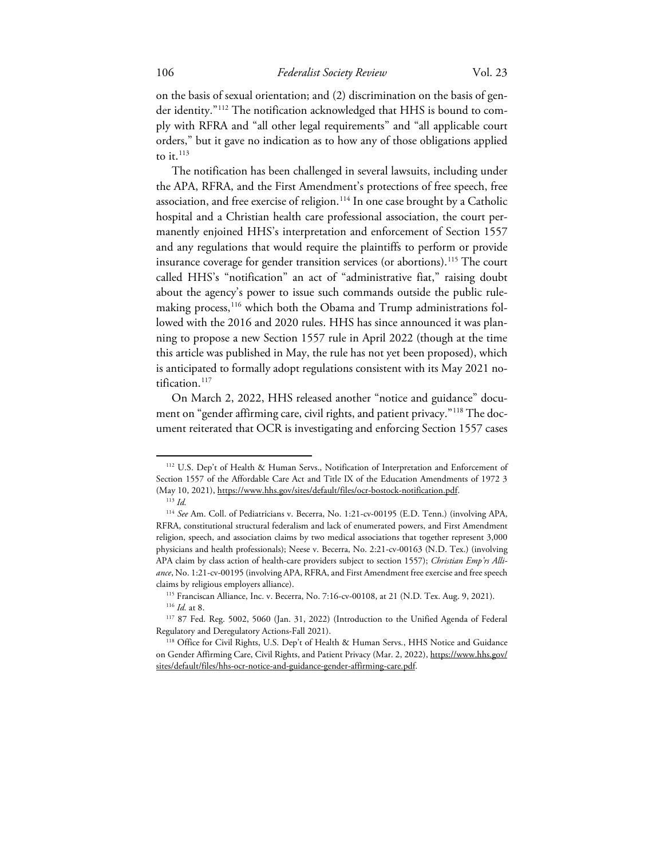on the basis of sexual orientation; and (2) discrimination on the basis of gender identity."[112](#page-21-0) The notification acknowledged that HHS is bound to comply with RFRA and "all other legal requirements" and "all applicable court orders," but it gave no indication as to how any of those obligations applied to it. $^{113}$  $^{113}$  $^{113}$ 

The notification has been challenged in several lawsuits, including under the APA, RFRA, and the First Amendment's protections of free speech, free association, and free exercise of religion.<sup>[114](#page-21-2)</sup> In one case brought by a Catholic hospital and a Christian health care professional association, the court permanently enjoined HHS's interpretation and enforcement of Section 1557 and any regulations that would require the plaintiffs to perform or provide insurance coverage for gender transition services (or abortions).<sup>[115](#page-21-3)</sup> The court called HHS's "notification" an act of "administrative fiat," raising doubt about the agency's power to issue such commands outside the public rulemaking process, [116](#page-21-4) which both the Obama and Trump administrations followed with the 2016 and 2020 rules. HHS has since announced it was planning to propose a new Section 1557 rule in April 2022 (though at the time this article was published in May, the rule has not yet been proposed), which is anticipated to formally adopt regulations consistent with its May 2021 no-tification.<sup>[117](#page-21-5)</sup>

On March 2, 2022, HHS released another "notice and guidance" document on "gender affirming care, civil rights, and patient privacy."[118](#page-21-6) The document reiterated that OCR is investigating and enforcing Section 1557 cases

<span id="page-21-0"></span><sup>112</sup> U.S. Dep't of Health & Human Servs., Notification of Interpretation and Enforcement of Section 1557 of the Affordable Care Act and Title IX of the Education Amendments of 1972 3 (May 10, 2021), https://www.hhs.gov/sites/default/files/ocr-bostock-notification.pdf.

<sup>113</sup> *Id.*

<span id="page-21-2"></span><span id="page-21-1"></span><sup>114</sup> *See* Am. Coll. of Pediatricians v. Becerra, No. 1:21-cv-00195 (E.D. Tenn.) (involving APA, RFRA, constitutional structural federalism and lack of enumerated powers, and First Amendment religion, speech, and association claims by two medical associations that together represent 3,000 physicians and health professionals); Neese v. Becerra, No. 2:21-cv-00163 (N.D. Tex.) (involving APA claim by class action of health-care providers subject to section 1557); *Christian Emp'rs Alliance*, No. 1:21-cv-00195 (involving APA, RFRA, and First Amendment free exercise and free speech claims by religious employers alliance).

<sup>115</sup> Franciscan Alliance, Inc. v. Becerra, No. 7:16-cv-00108, at 21 (N.D. Tex. Aug. 9, 2021). <sup>116</sup> *Id.* at 8.

<span id="page-21-5"></span><span id="page-21-4"></span><span id="page-21-3"></span><sup>117</sup> 87 Fed. Reg. 5002, 5060 (Jan. 31, 2022) (Introduction to the Unified Agenda of Federal Regulatory and Deregulatory Actions-Fall 2021).

<span id="page-21-6"></span><sup>&</sup>lt;sup>118</sup> Office for Civil Rights, U.S. Dep't of Health & Human Servs., HHS Notice and Guidance on Gender Affirming Care, Civil Rights, and Patient Privacy (Mar. 2, 2022), https://www.hhs.gov/ sites/default/files/hhs-ocr-notice-and-guidance-gender-affirming-care.pdf.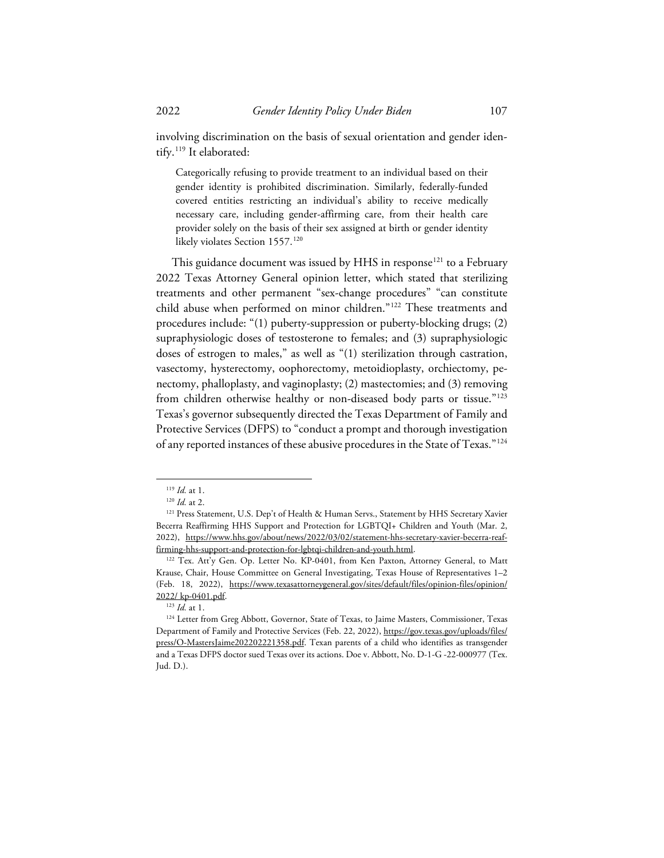involving discrimination on the basis of sexual orientation and gender identify. [119](#page-22-0) It elaborated:

Categorically refusing to provide treatment to an individual based on their gender identity is prohibited discrimination. Similarly, federally-funded covered entities restricting an individual's ability to receive medically necessary care, including gender-affirming care, from their health care provider solely on the basis of their sex assigned at birth or gender identity likely violates Section 1557.<sup>[120](#page-22-1)</sup>

This guidance document was issued by HHS in response<sup>[121](#page-22-2)</sup> to a February 2022 Texas Attorney General opinion letter, which stated that sterilizing treatments and other permanent "sex-change procedures" "can constitute child abuse when performed on minor children."[122](#page-22-3) These treatments and procedures include: "(1) puberty-suppression or puberty-blocking drugs; (2) supraphysiologic doses of testosterone to females; and (3) supraphysiologic doses of estrogen to males," as well as "(1) sterilization through castration, vasectomy, hysterectomy, oophorectomy, metoidioplasty, orchiectomy, penectomy, phalloplasty, and vaginoplasty; (2) mastectomies; and (3) removing from children otherwise healthy or non-diseased body parts or tissue."<sup>[123](#page-22-4)</sup> Texas's governor subsequently directed the Texas Department of Family and Protective Services (DFPS) to "conduct a prompt and thorough investigation of any reported instances of these abusive procedures in the State of Texas."[124](#page-22-5)

<sup>119</sup> *Id.* at 1.

<sup>120</sup> *Id.* at 2.

<span id="page-22-2"></span><span id="page-22-1"></span><span id="page-22-0"></span><sup>&</sup>lt;sup>121</sup> Press Statement, U.S. Dep't of Health & Human Servs., Statement by HHS Secretary Xavier Becerra Reaffirming HHS Support and Protection for LGBTQI+ Children and Youth (Mar. 2, 2022), https://www.hhs.gov/about/news/2022/03/02/statement-hhs-secretary-xavier-becerra-reaffirming-hhs-support-and-protection-for-lgbtqi-children-and-youth.html.

<span id="page-22-3"></span><sup>&</sup>lt;sup>122</sup> Tex. Att'y Gen. Op. Letter No. KP-0401, from Ken Paxton, Attorney General, to Matt Krause, Chair, House Committee on General Investigating, Texas House of Representatives 1–2 (Feb. 18, 2022), https://www.texasattorneygeneral.gov/sites/default/files/opinion-files/opinion/ 2022/ kp-0401.pdf.

<sup>123</sup> *Id.* at 1.

<span id="page-22-5"></span><span id="page-22-4"></span><sup>&</sup>lt;sup>124</sup> Letter from Greg Abbott, Governor, State of Texas, to Jaime Masters, Commissioner, Texas Department of Family and Protective Services (Feb. 22, 2022), https://gov.texas.gov/uploads/files/ press/O-MastersJaime202202221358.pdf. Texan parents of a child who identifies as transgender and a Texas DFPS doctor sued Texas over its actions. Doe v. Abbott, No. D-1-G -22-000977 (Tex. Jud. D.).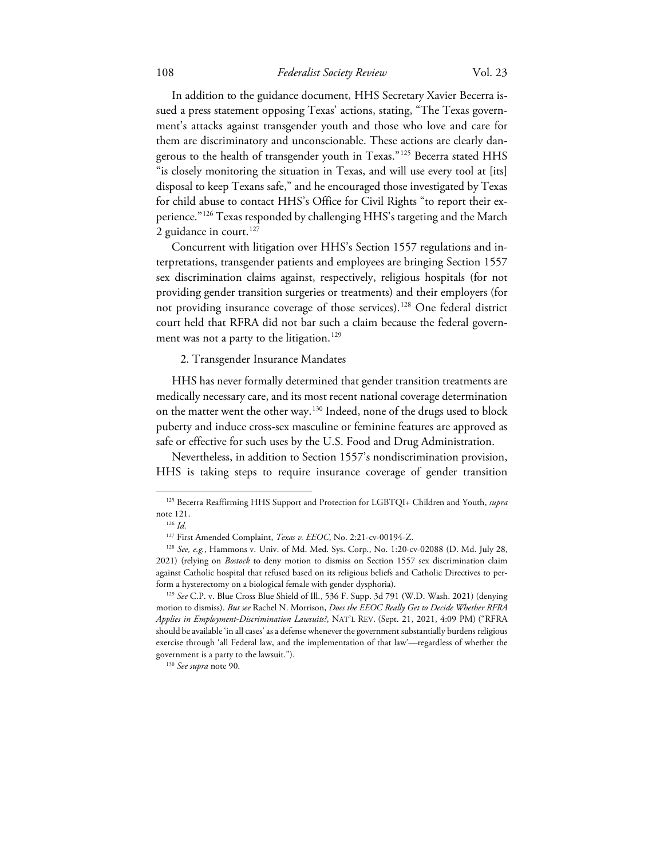In addition to the guidance document, HHS Secretary Xavier Becerra issued a press statement opposing Texas' actions, stating, "The Texas government's attacks against transgender youth and those who love and care for them are discriminatory and unconscionable. These actions are clearly dan-gerous to the health of transgender youth in Texas."<sup>[125](#page-23-0)</sup> Becerra stated HHS "is closely monitoring the situation in Texas, and will use every tool at [its] disposal to keep Texans safe," and he encouraged those investigated by Texas for child abuse to contact HHS's Office for Civil Rights "to report their experience."[126](#page-23-1) Texas responded by challenging HHS's targeting and the March 2 guidance in court.<sup>[127](#page-23-2)</sup>

Concurrent with litigation over HHS's Section 1557 regulations and interpretations, transgender patients and employees are bringing Section 1557 sex discrimination claims against, respectively, religious hospitals (for not providing gender transition surgeries or treatments) and their employers (for not providing insurance coverage of those services). [128](#page-23-3) One federal district court held that RFRA did not bar such a claim because the federal govern-ment was not a party to the litigation.<sup>[129](#page-23-4)</sup>

2. Transgender Insurance Mandates

HHS has never formally determined that gender transition treatments are medically necessary care, and its most recent national coverage determination on the matter went the other way.<sup>[130](#page-23-5)</sup> Indeed, none of the drugs used to block puberty and induce cross-sex masculine or feminine features are approved as safe or effective for such uses by the U.S. Food and Drug Administration.

Nevertheless, in addition to Section 1557's nondiscrimination provision, HHS is taking steps to require insurance coverage of gender transition

<span id="page-23-0"></span><sup>125</sup> Becerra Reaffirming HHS Support and Protection for LGBTQI+ Children and Youth, *supra* note 121.

<sup>126</sup> *Id.*

<sup>127</sup> First Amended Complaint, *Texas v. EEOC*, No. 2:21-cv-00194-Z.

<span id="page-23-3"></span><span id="page-23-2"></span><span id="page-23-1"></span><sup>128</sup> *See, e.g.*, Hammons v. Univ. of Md. Med. Sys. Corp., No. 1:20-cv-02088 (D. Md. July 28, 2021) (relying on *Bostock* to deny motion to dismiss on Section 1557 sex discrimination claim against Catholic hospital that refused based on its religious beliefs and Catholic Directives to perform a hysterectomy on a biological female with gender dysphoria).

<span id="page-23-4"></span><sup>129</sup> *See* C.P. v. Blue Cross Blue Shield of Ill., 536 F. Supp. 3d 791 (W.D. Wash. 2021) (denying motion to dismiss). *But see* Rachel N. Morrison, *Does the EEOC Really Get to Decide Whether RFRA Applies in Employment-Discrimination Lawsuits?*, NAT'L REV. (Sept. 21, 2021, 4:09 PM) ("RFRA should be available 'in all cases' as a defense whenever the government substantially burdens religious exercise through 'all Federal law, and the implementation of that law'—regardless of whether the government is a party to the lawsuit.").

<span id="page-23-5"></span><sup>130</sup> *See supra* note 90.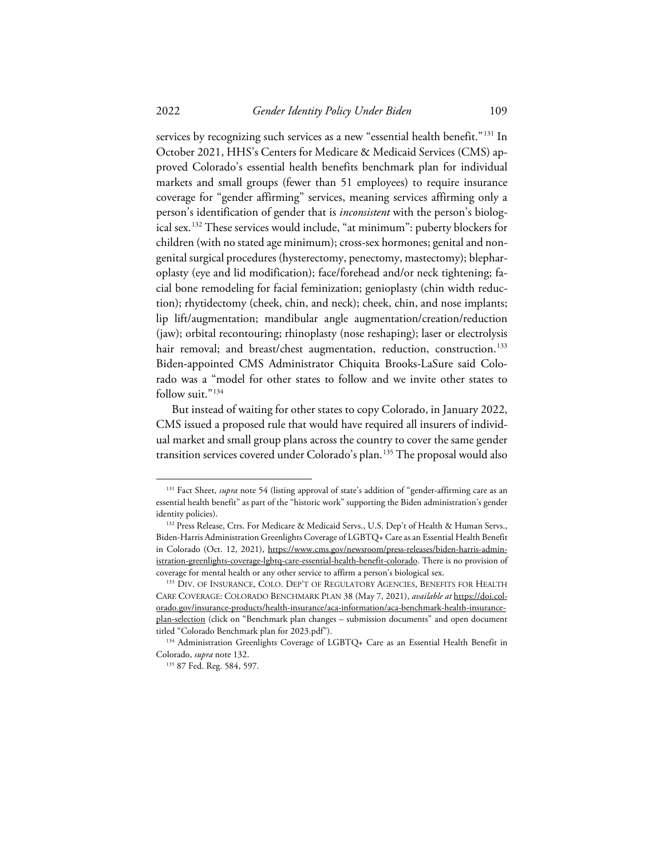services by recognizing such services as a new "essential health benefit."<sup>[131](#page-24-0)</sup> In October 2021, HHS's Centers for Medicare & Medicaid Services (CMS) approved Colorado's essential health benefits benchmark plan for individual markets and small groups (fewer than 51 employees) to require insurance coverage for "gender affirming" services, meaning services affirming only a person's identification of gender that is *inconsistent* with the person's biological sex. [132](#page-24-1) These services would include, "at minimum": puberty blockers for children (with no stated age minimum); cross-sex hormones; genital and nongenital surgical procedures (hysterectomy, penectomy, mastectomy); blepharoplasty (eye and lid modification); face/forehead and/or neck tightening; facial bone remodeling for facial feminization; genioplasty (chin width reduction); rhytidectomy (cheek, chin, and neck); cheek, chin, and nose implants; lip lift/augmentation; mandibular angle augmentation/creation/reduction (jaw); orbital recontouring; rhinoplasty (nose reshaping); laser or electrolysis hair removal; and breast/chest augmentation, reduction, construction.<sup>[133](#page-24-2)</sup> Biden-appointed CMS Administrator Chiquita Brooks-LaSure said Colorado was a "model for other states to follow and we invite other states to follow suit."<sup>134</sup>

But instead of waiting for other states to copy Colorado, in January 2022, CMS issued a proposed rule that would have required all insurers of individual market and small group plans across the country to cover the same gender transition services covered under Colorado's plan. [135](#page-24-4) The proposal would also

<span id="page-24-0"></span><sup>&</sup>lt;sup>131</sup> Fact Sheet, *supra* note 54 (listing approval of state's addition of "gender-affirming care as an essential health benefit" as part of the "historic work" supporting the Biden administration's gender identity policies).

<span id="page-24-1"></span><sup>&</sup>lt;sup>132</sup> Press Release, Ctrs. For Medicare & Medicaid Servs., U.S. Dep't of Health & Human Servs., Biden-Harris Administration Greenlights Coverage of LGBTQ+ Care as an Essential Health Benefit in Colorado (Oct. 12, 2021), https://www.cms.gov/newsroom/press-releases/biden-harris-administration-greenlights-coverage-lgbtq-care-essential-health-benefit-colorado. There is no provision of coverage for mental health or any other service to affirm a person's biological sex.

<span id="page-24-2"></span><sup>&</sup>lt;sup>133</sup> DIV. OF INSURANCE, COLO. DEP'T OF REGULATORY AGENCIES, BENEFITS FOR HEALTH CARE COVERAGE: COLORADO BENCHMARK PLAN 38 (May 7, 2021), *available at* https://doi.colorado.gov/insurance-products/health-insurance/aca-information/aca-benchmark-health-insuranceplan-selection (click on "Benchmark plan changes – submission documents" and open document titled "Colorado Benchmark plan for 2023.pdf").

<span id="page-24-4"></span><span id="page-24-3"></span><sup>&</sup>lt;sup>134</sup> Administration Greenlights Coverage of LGBTQ+ Care as an Essential Health Benefit in Colorado, *supra* note 132.

<sup>135</sup> 87 Fed. Reg. 584, 597.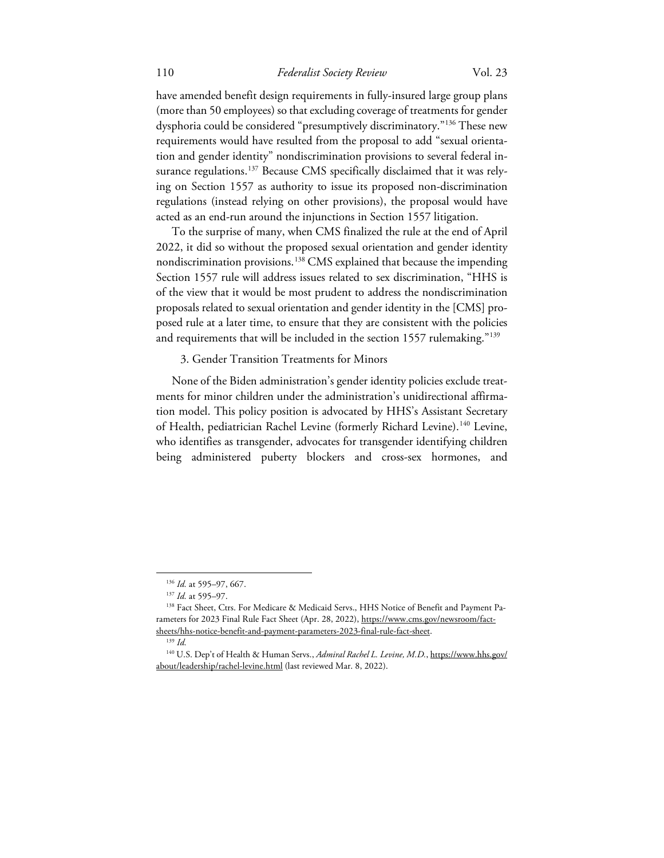have amended benefit design requirements in fully-insured large group plans (more than 50 employees) so that excluding coverage of treatments for gender dysphoria could be considered "presumptively discriminatory."[136](#page-25-0) These new requirements would have resulted from the proposal to add "sexual orientation and gender identity" nondiscrimination provisions to several federal in-surance regulations.<sup>[137](#page-25-1)</sup> Because CMS specifically disclaimed that it was relying on Section 1557 as authority to issue its proposed non-discrimination regulations (instead relying on other provisions), the proposal would have acted as an end-run around the injunctions in Section 1557 litigation.

To the surprise of many, when CMS finalized the rule at the end of April 2022, it did so without the proposed sexual orientation and gender identity nondiscrimination provisions. [138](#page-25-2) CMS explained that because the impending Section 1557 rule will address issues related to sex discrimination, "HHS is of the view that it would be most prudent to address the nondiscrimination proposals related to sexual orientation and gender identity in the [CMS] proposed rule at a later time, to ensure that they are consistent with the policies and requirements that will be included in the section 1557 rulemaking."<sup>[139](#page-25-3)</sup>

#### 3. Gender Transition Treatments for Minors

None of the Biden administration's gender identity policies exclude treatments for minor children under the administration's unidirectional affirmation model. This policy position is advocated by HHS's Assistant Secretary of Health, pediatrician Rachel Levine (formerly Richard Levine).<sup>[140](#page-25-4)</sup> Levine, who identifies as transgender, advocates for transgender identifying children being administered puberty blockers and cross-sex hormones, and

<sup>136</sup> *Id.* at 595–97, 667.

<sup>137</sup> *Id.* at 595–97.

<span id="page-25-2"></span><span id="page-25-1"></span><span id="page-25-0"></span><sup>&</sup>lt;sup>138</sup> Fact Sheet, Ctrs. For Medicare & Medicaid Servs., HHS Notice of Benefit and Payment Parameters for 2023 Final Rule Fact Sheet (Apr. 28, 2022), https://www.cms.gov/newsroom/factsheets/hhs-notice-benefit-and-payment-parameters-2023-final-rule-fact-sheet.

<sup>139</sup> *Id.*

<span id="page-25-4"></span><span id="page-25-3"></span><sup>140</sup> U.S. Dep't of Health & Human Servs., *Admiral Rachel L. Levine, M.D.*, https://www.hhs.gov/ about/leadership/rachel-levine.html (last reviewed Mar. 8, 2022).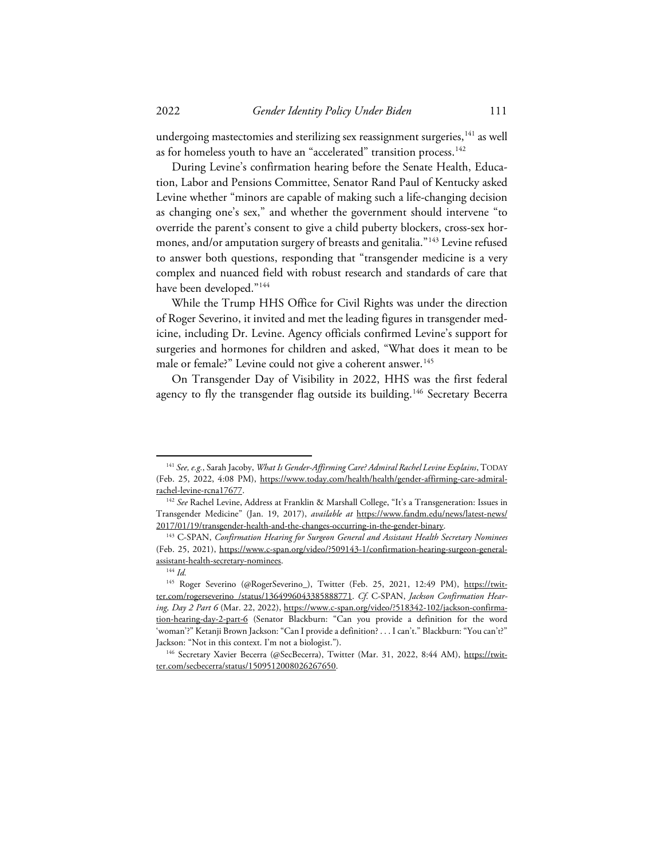undergoing mastectomies and sterilizing sex reassignment surgeries,  $^{141}$  $^{141}$  $^{141}$  as well as for homeless youth to have an "accelerated" transition process.  $^{142}$  $^{142}$  $^{142}$ 

During Levine's confirmation hearing before the Senate Health, Education, Labor and Pensions Committee, Senator Rand Paul of Kentucky asked Levine whether "minors are capable of making such a life-changing decision as changing one's sex," and whether the government should intervene "to override the parent's consent to give a child puberty blockers, cross-sex hor-mones, and/or amputation surgery of breasts and genitalia."<sup>[143](#page-26-2)</sup> Levine refused to answer both questions, responding that "transgender medicine is a very complex and nuanced field with robust research and standards of care that have been developed."<sup>[144](#page-26-3)</sup>

While the Trump HHS Office for Civil Rights was under the direction of Roger Severino, it invited and met the leading figures in transgender medicine, including Dr. Levine. Agency officials confirmed Levine's support for surgeries and hormones for children and asked, "What does it mean to be male or female?" Levine could not give a coherent answer.<sup>145</sup>

On Transgender Day of Visibility in 2022, HHS was the first federal agency to fly the transgender flag outside its building.<sup>[146](#page-26-5)</sup> Secretary Becerra

<span id="page-26-0"></span><sup>141</sup> *See, e.g.*, Sarah Jacoby, *What Is Gender-Affirming Care? Admiral Rachel Levine Explains*, TODAY (Feb. 25, 2022, 4:08 PM), https://www.today.com/health/health/gender-affirming-care-admiralrachel-levine-rcna17677.

<span id="page-26-1"></span><sup>&</sup>lt;sup>142</sup> See Rachel Levine, Address at Franklin & Marshall College, "It's a Transgeneration: Issues in Transgender Medicine" (Jan. 19, 2017), *available at* https://www.fandm.edu/news/latest-news/ 2017/01/19/transgender-health-and-the-changes-occurring-in-the-gender-binary.

<span id="page-26-2"></span><sup>&</sup>lt;sup>143</sup> C-SPAN, *Confirmation Hearing for Surgeon General and Assistant Health Secretary Nominees* (Feb. 25, 2021), https://www.c-span.org/video/?509143-1/confirmation-hearing-surgeon-generalassistant-health-secretary-nominees.

<sup>144</sup> *Id.*

<span id="page-26-4"></span><span id="page-26-3"></span><sup>&</sup>lt;sup>145</sup> Roger Severino (@RogerSeverino\_), Twitter (Feb. 25, 2021, 12:49 PM), https://twitter.com/rogerseverino\_/status/1364996043385888771. *Cf*. C-SPAN, *Jackson Confirmation Hearing, Day 2 Part 6* (Mar. 22, 2022), https://www.c-span.org/video/?518342-102/jackson-confirmation-hearing-day-2-part-6 (Senator Blackburn: "Can you provide a definition for the word 'woman'?" Ketanji Brown Jackson: "Can I provide a definition? . . . I can't." Blackburn: "You can't?" Jackson: "Not in this context. I'm not a biologist.").

<span id="page-26-5"></span><sup>&</sup>lt;sup>146</sup> Secretary Xavier Becerra (@SecBecerra), Twitter (Mar. 31, 2022, 8:44 AM), https://twitter.com/secbecerra/status/1509512008026267650.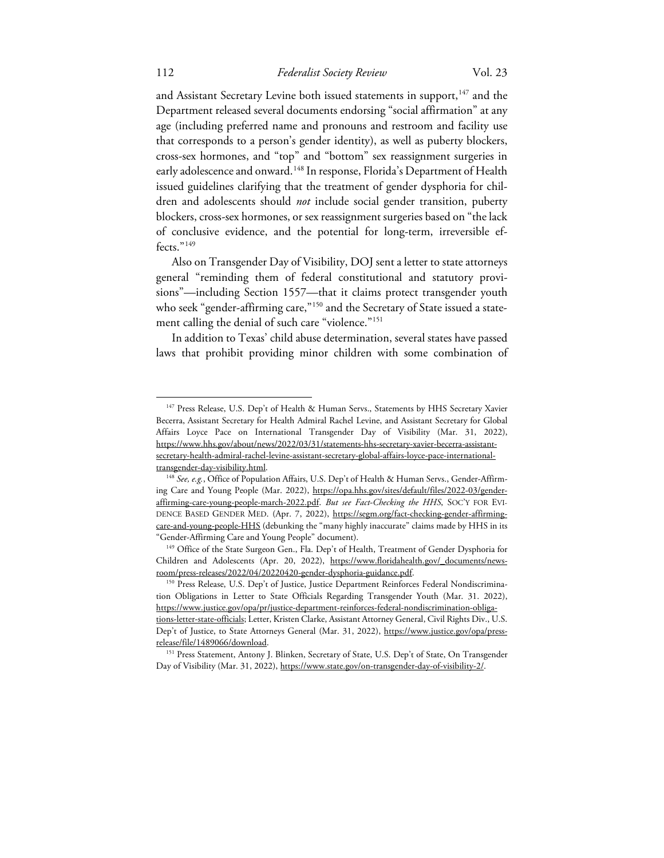and Assistant Secretary Levine both issued statements in support,  $^{147}$  $^{147}$  $^{147}$  and the Department released several documents endorsing "social affirmation" at any age (including preferred name and pronouns and restroom and facility use that corresponds to a person's gender identity), as well as puberty blockers, cross-sex hormones, and "top" and "bottom" sex reassignment surgeries in early adolescence and onward. <sup>[148](#page-27-1)</sup> In response, Florida's Department of Health issued guidelines clarifying that the treatment of gender dysphoria for children and adolescents should *not* include social gender transition, puberty blockers, cross-sex hormones, or sex reassignment surgeries based on "the lack of conclusive evidence, and the potential for long-term, irreversible ef-fects."<sup>[149](#page-27-2)</sup>

Also on Transgender Day of Visibility, DOJ sent a letter to state attorneys general "reminding them of federal constitutional and statutory provisions"—including Section 1557—that it claims protect transgender youth who seek "gender-affirming care,"<sup>[150](#page-27-3)</sup> and the Secretary of State issued a state-ment calling the denial of such care "violence."<sup>[151](#page-27-4)</sup>

In addition to Texas' child abuse determination, several states have passed laws that prohibit providing minor children with some combination of

<span id="page-27-0"></span><sup>&</sup>lt;sup>147</sup> Press Release, U.S. Dep't of Health & Human Servs., Statements by HHS Secretary Xavier Becerra, Assistant Secretary for Health Admiral Rachel Levine, and Assistant Secretary for Global Affairs Loyce Pace on International Transgender Day of Visibility (Mar. 31, 2022), https://www.hhs.gov/about/news/2022/03/31/statements-hhs-secretary-xavier-becerra-assistantsecretary-health-admiral-rachel-levine-assistant-secretary-global-affairs-loyce-pace-internationaltransgender-day-visibility.html.

<span id="page-27-1"></span><sup>&</sup>lt;sup>148</sup> See, e.g., Office of Population Affairs, U.S. Dep't of Health & Human Servs., Gender-Affirming Care and Young People (Mar. 2022), https://opa.hhs.gov/sites/default/files/2022-03/genderaffirming-care-young-people-march-2022.pdf. *But see Fact-Checking the HHS*, SOC'Y FOR EVI-DENCE BASED GENDER MED. (Apr. 7, 2022), https://segm.org/fact-checking-gender-affirmingcare-and-young-people-HHS (debunking the "many highly inaccurate" claims made by HHS in its "Gender-Affirming Care and Young People" document).

<span id="page-27-2"></span><sup>&</sup>lt;sup>149</sup> Office of the State Surgeon Gen., Fla. Dep't of Health, Treatment of Gender Dysphoria for Children and Adolescents (Apr. 20, 2022), https://www.floridahealth.gov/ documents/newsroom/press-releases/2022/04/20220420-gender-dysphoria-guidance.pdf.

<span id="page-27-3"></span><sup>&</sup>lt;sup>150</sup> Press Release, U.S. Dep't of Justice, Justice Department Reinforces Federal Nondiscrimination Obligations in Letter to State Officials Regarding Transgender Youth (Mar. 31. 2022), https://www.justice.gov/opa/pr/justice-department-reinforces-federal-nondiscrimination-obligations-letter-state-officials; Letter, Kristen Clarke, Assistant Attorney General, Civil Rights Div., U.S. Dep't of Justice, to State Attorneys General (Mar. 31, 2022), https://www.justice.gov/opa/pressrelease/file/1489066/download.

<span id="page-27-4"></span><sup>&</sup>lt;sup>151</sup> Press Statement, Antony J. Blinken, Secretary of State, U.S. Dep't of State, On Transgender Day of Visibility (Mar. 31, 2022), https://www.state.gov/on-transgender-day-of-visibility-2/.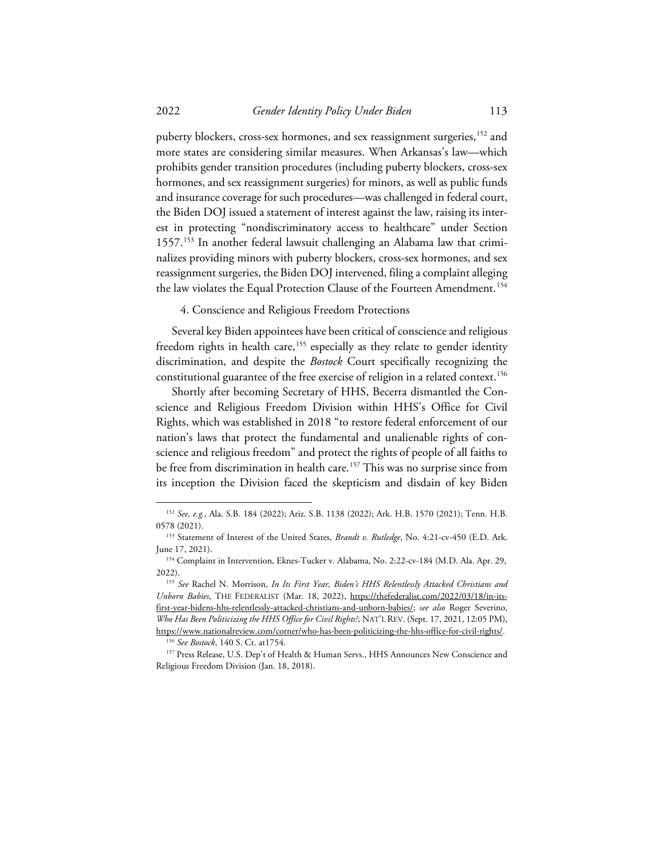puberty blockers, cross-sex hormones, and sex reassignment surgeries, [152](#page-28-0) and more states are considering similar measures. When Arkansas's law—which prohibits gender transition procedures (including puberty blockers, cross-sex hormones, and sex reassignment surgeries) for minors, as well as public funds and insurance coverage for such procedures—was challenged in federal court, the Biden DOJ issued a statement of interest against the law, raising its interest in protecting "nondiscriminatory access to healthcare" under Section 1557.[153](#page-28-1) In another federal lawsuit challenging an Alabama law that criminalizes providing minors with puberty blockers, cross-sex hormones, and sex reassignment surgeries, the Biden DOJ intervened, filing a complaint alleging the law violates the Equal Protection Clause of the Fourteen Amendment.<sup>[154](#page-28-2)</sup>

4. Conscience and Religious Freedom Protections

Several key Biden appointees have been critical of conscience and religious freedom rights in health care,<sup>[155](#page-28-3)</sup> especially as they relate to gender identity discrimination, and despite the *Bostock* Court specifically recognizing the constitutional guarantee of the free exercise of religion in a related context.  $^{156}$  $^{156}$  $^{156}$ 

Shortly after becoming Secretary of HHS, Becerra dismantled the Conscience and Religious Freedom Division within HHS's Office for Civil Rights, which was established in 2018 "to restore federal enforcement of our nation's laws that protect the fundamental and unalienable rights of conscience and religious freedom" and protect the rights of people of all faiths to be free from discrimination in health care.<sup>[157](#page-28-5)</sup> This was no surprise since from its inception the Division faced the skepticism and disdain of key Biden

<span id="page-28-0"></span><sup>152</sup> *See, e.g.*, Ala. S.B. 184 (2022); Ariz. S.B. 1138 (2022); Ark. H.B. 1570 (2021); Tenn. H.B. 0578 (2021).

<span id="page-28-1"></span><sup>153</sup> Statement of Interest of the United States, *Brandt v. Rutledge*, No. 4:21-cv-450 (E.D. Ark. June 17, 2021).

<span id="page-28-2"></span><sup>&</sup>lt;sup>154</sup> Complaint in Intervention, Eknes-Tucker v. Alabama, No. 2:22-cv-184 (M.D. Ala. Apr. 29, 2022).

<span id="page-28-3"></span><sup>155</sup> *See* Rachel N. Morrison, *In Its First Year, Biden's HHS Relentlessly Attacked Christians and Unborn Babies*, THE FEDERALIST (Mar. 18, 2022), https://thefederalist.com/2022/03/18/in-itsfirst-year-bidens-hhs-relentlessly-attacked-christians-and-unborn-babies/; *see also* Roger Severino, *Who Has Been Politicizing the HHS Office for Civil Rights?*, NAT'L REV. (Sept. 17, 2021, 12:05 PM), https://www.nationalreview.com/corner/who-has-been-politicizing-the-hhs-office-for-civil-rights/.

<sup>156</sup> *See Bostock*, 140 S. Ct. at1754.

<span id="page-28-5"></span><span id="page-28-4"></span><sup>&</sup>lt;sup>157</sup> Press Release, U.S. Dep't of Health & Human Servs., HHS Announces New Conscience and Religious Freedom Division (Jan. 18, 2018).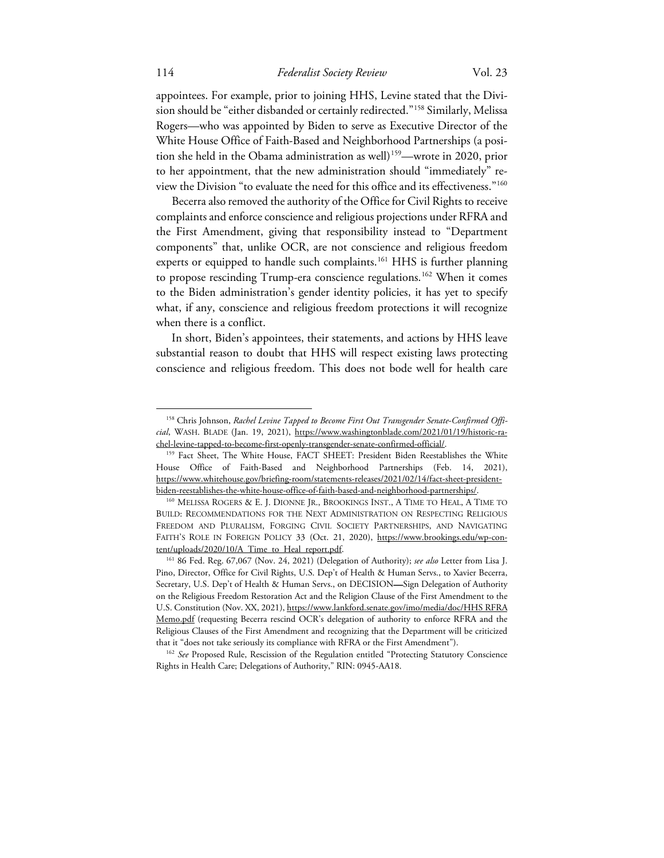appointees. For example, prior to joining HHS, Levine stated that the Division should be "either disbanded or certainly redirected."[158](#page-29-0) Similarly, Melissa Rogers—who was appointed by Biden to serve as Executive Director of the White House Office of Faith-Based and Neighborhood Partnerships (a posi-tion she held in the Obama administration as well)<sup>[159](#page-29-1)</sup>—wrote in 2020, prior to her appointment, that the new administration should "immediately" review the Division "to evaluate the need for this office and its effectiveness."[160](#page-29-2)

Becerra also removed the authority of the Office for Civil Rights to receive complaints and enforce conscience and religious projections under RFRA and the First Amendment, giving that responsibility instead to "Department components" that, unlike OCR, are not conscience and religious freedom experts or equipped to handle such complaints.<sup>[161](#page-29-3)</sup> HHS is further planning to propose rescinding Trump-era conscience regulations.<sup>[162](#page-29-4)</sup> When it comes to the Biden administration's gender identity policies, it has yet to specify what, if any, conscience and religious freedom protections it will recognize when there is a conflict.

In short, Biden's appointees, their statements, and actions by HHS leave substantial reason to doubt that HHS will respect existing laws protecting conscience and religious freedom. This does not bode well for health care

<span id="page-29-0"></span><sup>&</sup>lt;sup>158</sup> Chris Johnson, *Rachel Levine Tapped to Become First Out Transgender Senate-Confirmed Official*, WASH. BLADE (Jan. 19, 2021), https://www.washingtonblade.com/2021/01/19/historic-rachel-levine-tapped-to-become-first-openly-transgender-senate-confirmed-official/.

<span id="page-29-1"></span><sup>&</sup>lt;sup>159</sup> Fact Sheet, The White House, FACT SHEET: President Biden Reestablishes the White House Office of Faith-Based and Neighborhood Partnerships (Feb. 14, 2021), https://www.whitehouse.gov/briefing-room/statements-releases/2021/02/14/fact-sheet-presidentbiden-reestablishes-the-white-house-office-of-faith-based-and-neighborhood-partnerships/.

<span id="page-29-2"></span><sup>160</sup> MELISSA ROGERS & E. J. DIONNE JR., BROOKINGS INST., A TIME TO HEAL, A TIME TO BUILD: RECOMMENDATIONS FOR THE NEXT ADMINISTRATION ON RESPECTING RELIGIOUS FREEDOM AND PLURALISM, FORGING CIVIL SOCIETY PARTNERSHIPS, AND NAVIGATING FAITH'S ROLE IN FOREIGN POLICY 33 (Oct. 21, 2020), https://www.brookings.edu/wp-content/uploads/2020/10/A\_Time\_to\_Heal\_report.pdf.

<span id="page-29-3"></span><sup>161</sup> 86 Fed. Reg. 67,067 (Nov. 24, 2021) (Delegation of Authority); *see also* Letter from Lisa J. Pino, Director, Office for Civil Rights, U.S. Dep't of Health & Human Servs., to Xavier Becerra, Secretary, U.S. Dep't of Health & Human Servs., on DECISION—Sign Delegation of Authority on the Religious Freedom Restoration Act and the Religion Clause of the First Amendment to the U.S. Constitution (Nov. XX, 2021), https://www.lankford.senate.gov/imo/media/doc/HHS RFRA Memo.pdf (requesting Becerra rescind OCR's delegation of authority to enforce RFRA and the Religious Clauses of the First Amendment and recognizing that the Department will be criticized that it "does not take seriously its compliance with RFRA or the First Amendment").

<span id="page-29-4"></span><sup>&</sup>lt;sup>162</sup> See Proposed Rule, Rescission of the Regulation entitled "Protecting Statutory Conscience Rights in Health Care; Delegations of Authority," RIN: 0945-AA18.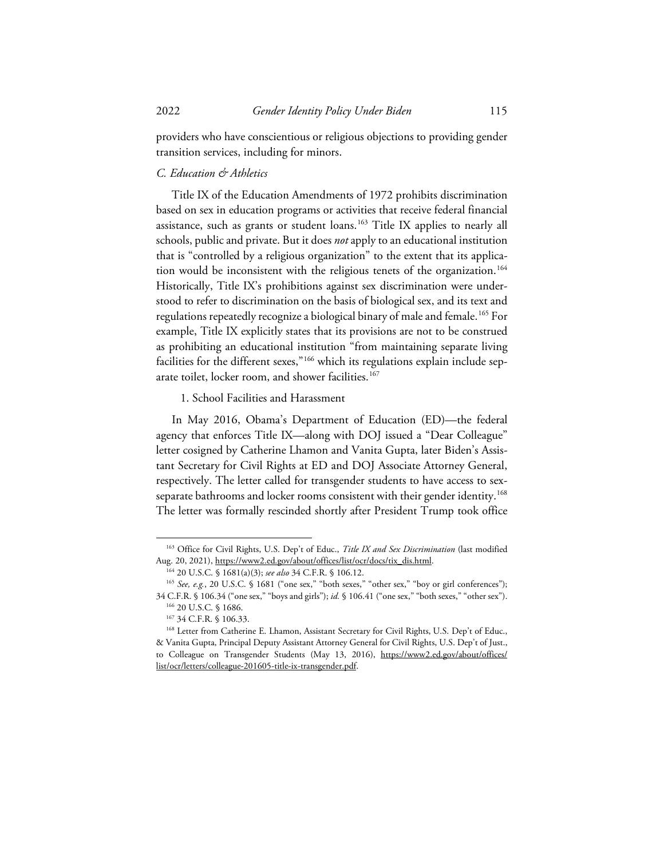providers who have conscientious or religious objections to providing gender transition services, including for minors.

# *C. Education & Athletics*

Title IX of the Education Amendments of 1972 prohibits discrimination based on sex in education programs or activities that receive federal financial assistance, such as grants or student loans.<sup>[163](#page-30-0)</sup> Title IX applies to nearly all schools, public and private. But it does *not* apply to an educational institution that is "controlled by a religious organization" to the extent that its applica-tion would be inconsistent with the religious tenets of the organization.<sup>[164](#page-30-1)</sup> Historically, Title IX's prohibitions against sex discrimination were understood to refer to discrimination on the basis of biological sex, and its text and regulations repeatedly recognize a biological binary of male and female. [165](#page-30-2) For example, Title IX explicitly states that its provisions are not to be construed as prohibiting an educational institution "from maintaining separate living facilities for the different sexes,"<sup>[166](#page-30-3)</sup> which its regulations explain include separate toilet, locker room, and shower facilities.<sup>167</sup>

1. School Facilities and Harassment

In May 2016, Obama's Department of Education (ED)—the federal agency that enforces Title IX—along with DOJ issued a "Dear Colleague" letter cosigned by Catherine Lhamon and Vanita Gupta, later Biden's Assistant Secretary for Civil Rights at ED and DOJ Associate Attorney General, respectively. The letter called for transgender students to have access to sexseparate bathrooms and locker rooms consistent with their gender identity. [168](#page-30-5) The letter was formally rescinded shortly after President Trump took office

<span id="page-30-0"></span><sup>163</sup> Office for Civil Rights, U.S. Dep't of Educ., *Title IX and Sex Discrimination* (last modified Aug. 20, 2021), https://www2.ed.gov/about/offices/list/ocr/docs/tix\_dis.html.

<sup>164</sup> 20 U.S.C. § 1681(a)(3); *see also* 34 C.F.R. § 106.12.

<span id="page-30-2"></span><span id="page-30-1"></span><sup>&</sup>lt;sup>165</sup> See, e.g., 20 U.S.C. § 1681 ("one sex," "both sexes," "other sex," "boy or girl conferences"); 34 C.F.R. § 106.34 ("one sex," "boys and girls"); *id.* § 106.41 ("one sex," "both sexes," "other sex").

<sup>166</sup> 20 U.S.C. § 1686.

<sup>167</sup> 34 C.F.R. § 106.33.

<span id="page-30-5"></span><span id="page-30-4"></span><span id="page-30-3"></span><sup>&</sup>lt;sup>168</sup> Letter from Catherine E. Lhamon, Assistant Secretary for Civil Rights, U.S. Dep't of Educ., & Vanita Gupta, Principal Deputy Assistant Attorney General for Civil Rights, U.S. Dep't of Just., to Colleague on Transgender Students (May 13, 2016), https://www2.ed.gov/about/offices/ list/ocr/letters/colleague-201605-title-ix-transgender.pdf.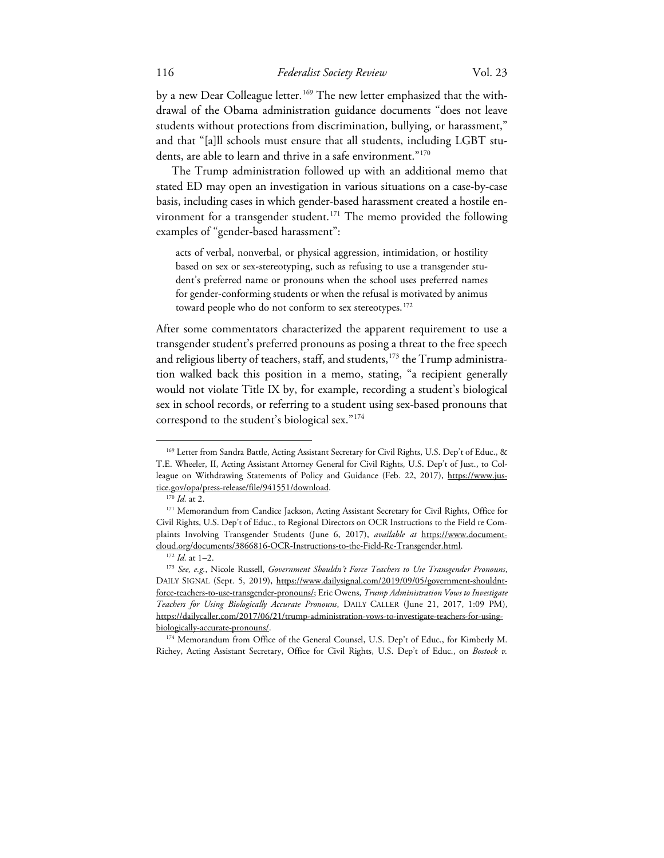by a new Dear Colleague letter.<sup>[169](#page-31-0)</sup> The new letter emphasized that the withdrawal of the Obama administration guidance documents "does not leave students without protections from discrimination, bullying, or harassment," and that "[a]ll schools must ensure that all students, including LGBT students, are able to learn and thrive in a safe environment."<sup>170</sup>

The Trump administration followed up with an additional memo that stated ED may open an investigation in various situations on a case-by-case basis, including cases in which gender-based harassment created a hostile en-vironment for a transgender student.<sup>[171](#page-31-2)</sup> The memo provided the following examples of "gender-based harassment":

acts of verbal, nonverbal, or physical aggression, intimidation, or hostility based on sex or sex-stereotyping, such as refusing to use a transgender student's preferred name or pronouns when the school uses preferred names for gender-conforming students or when the refusal is motivated by animus toward people who do not conform to sex stereotypes. [172](#page-31-3)

After some commentators characterized the apparent requirement to use a transgender student's preferred pronouns as posing a threat to the free speech and religious liberty of teachers, staff, and students, [173](#page-31-4) the Trump administration walked back this position in a memo, stating, "a recipient generally would not violate Title IX by, for example, recording a student's biological sex in school records, or referring to a student using sex-based pronouns that correspond to the student's biological sex."[174](#page-31-5)

<span id="page-31-0"></span><sup>169</sup> Letter from Sandra Battle, Acting Assistant Secretary for Civil Rights, U.S. Dep't of Educ., & T.E. Wheeler, II, Acting Assistant Attorney General for Civil Rights*,* U.S. Dep't of Just., to Colleague on Withdrawing Statements of Policy and Guidance (Feb. 22, 2017), https://www.justice.gov/opa/press-release/file/941551/download.

<sup>170</sup> *Id.* at 2.

<span id="page-31-2"></span><span id="page-31-1"></span><sup>&</sup>lt;sup>171</sup> Memorandum from Candice Jackson, Acting Assistant Secretary for Civil Rights, Office for Civil Rights, U.S. Dep't of Educ., to Regional Directors on OCR Instructions to the Field re Complaints Involving Transgender Students (June 6, 2017), *available at* https://www.documentcloud.org/documents/3866816-OCR-Instructions-to-the-Field-Re-Transgender.html.

<sup>172</sup> *Id.* at 1–2.

<span id="page-31-4"></span><span id="page-31-3"></span><sup>173</sup> *See, e.g.*, Nicole Russell, *Government Shouldn't Force Teachers to Use Transgender Pronouns*, DAILY SIGNAL (Sept. 5, 2019), https://www.dailysignal.com/2019/09/05/government-shouldntforce-teachers-to-use-transgender-pronouns/; Eric Owens, *Trump Administration Vows to Investigate Teachers for Using Biologically Accurate Pronouns*, DAILY CALLER (June 21, 2017, 1:09 PM), https://dailycaller.com/2017/06/21/trump-administration-vows-to-investigate-teachers-for-usingbiologically-accurate-pronouns/.

<span id="page-31-5"></span><sup>174</sup> Memorandum from Office of the General Counsel, U.S. Dep't of Educ., for Kimberly M. Richey, Acting Assistant Secretary, Office for Civil Rights, U.S. Dep't of Educ., on *Bostock v.*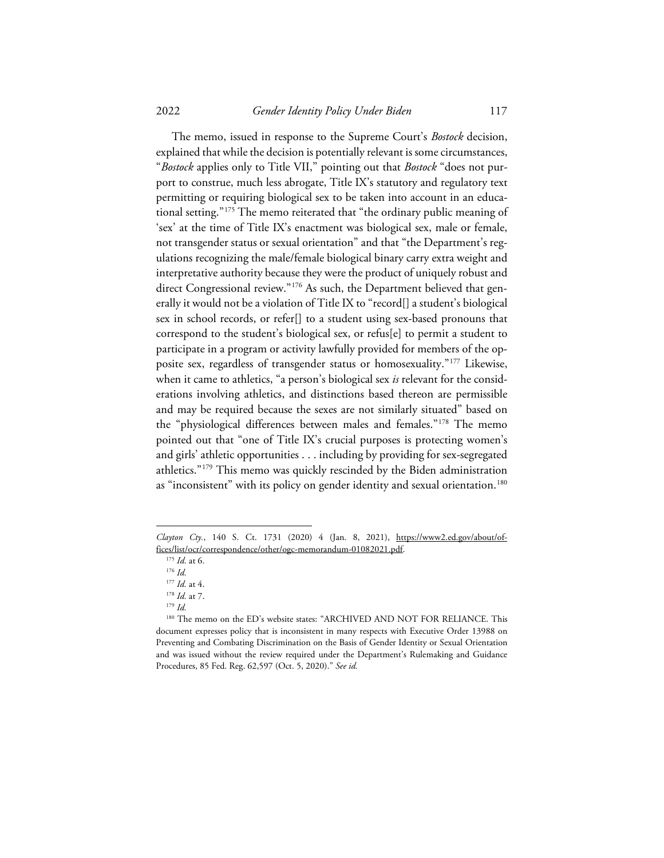2022 *Gender Identity Policy Under Biden* 117

The memo, issued in response to the Supreme Court's *Bostock* decision, explained that while the decision is potentially relevant is some circumstances, "*Bostock* applies only to Title VII," pointing out that *Bostock* "does not purport to construe, much less abrogate, Title IX's statutory and regulatory text permitting or requiring biological sex to be taken into account in an educational setting."[175](#page-32-0) The memo reiterated that "the ordinary public meaning of 'sex' at the time of Title IX's enactment was biological sex, male or female, not transgender status or sexual orientation" and that "the Department's regulations recognizing the male/female biological binary carry extra weight and interpretative authority because they were the product of uniquely robust and direct Congressional review."<sup>[176](#page-32-1)</sup> As such, the Department believed that generally it would not be a violation of Title IX to "record[] a student's biological sex in school records, or refer[] to a student using sex-based pronouns that correspond to the student's biological sex, or refus[e] to permit a student to participate in a program or activity lawfully provided for members of the opposite sex, regardless of transgender status or homosexuality."[177](#page-32-2) Likewise, when it came to athletics, "a person's biological sex *is* relevant for the considerations involving athletics, and distinctions based thereon are permissible and may be required because the sexes are not similarly situated" based on the "physiological differences between males and females."[178](#page-32-3) The memo pointed out that "one of Title IX's crucial purposes is protecting women's and girls' athletic opportunities . . . including by providing for sex-segregated athletics.["179](#page-32-4) This memo was quickly rescinded by the Biden administration as "inconsistent" with its policy on gender identity and sexual orientation.<sup>[180](#page-32-5)</sup>

<sup>179</sup> *Id.*

<span id="page-32-1"></span><span id="page-32-0"></span>*Clayton Cty.*, 140 S. Ct. 1731 (2020) 4 (Jan. 8, 2021), https://www2.ed.gov/about/offices/list/ocr/correspondence/other/ogc-memorandum-01082021.pdf.

<sup>175</sup> *Id.* at 6.

<sup>176</sup> *Id.*

<sup>177</sup> *Id.* at 4.

<sup>178</sup> *Id.* at 7.

<span id="page-32-5"></span><span id="page-32-4"></span><span id="page-32-3"></span><span id="page-32-2"></span><sup>180</sup> The memo on the ED's website states: "ARCHIVED AND NOT FOR RELIANCE. This document expresses policy that is inconsistent in many respects with Executive Order 13988 on Preventing and Combating Discrimination on the Basis of Gender Identity or Sexual Orientation and was issued without the review required under the Department's Rulemaking and Guidance Procedures, 85 Fed. Reg. 62,597 (Oct. 5, 2020)." *See id.*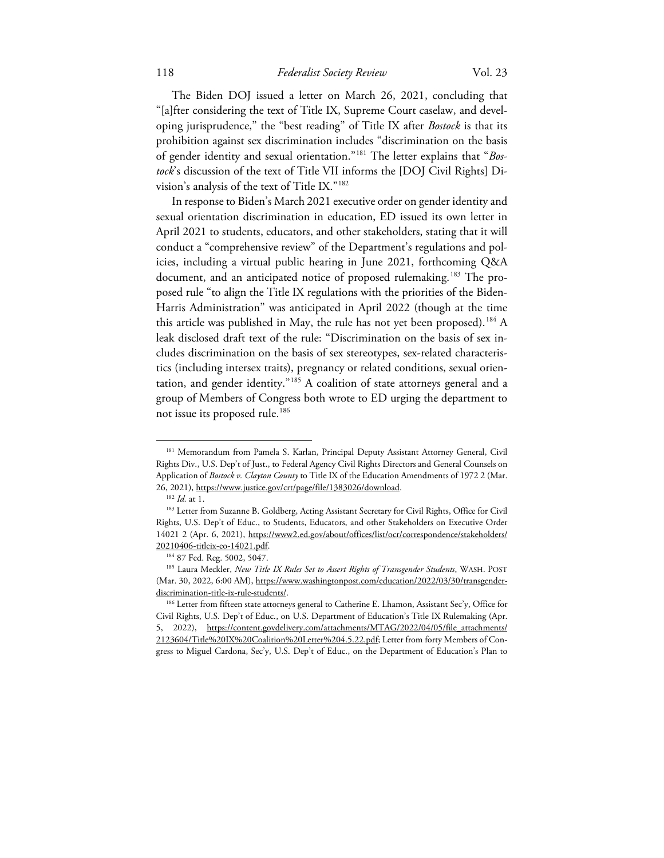The Biden DOJ issued a letter on March 26, 2021, concluding that "[a]fter considering the text of Title IX, Supreme Court caselaw, and developing jurisprudence," the "best reading" of Title IX after *Bostock* is that its prohibition against sex discrimination includes "discrimination on the basis of gender identity and sexual orientation."[181](#page-33-0) The letter explains that "*Bostock*'s discussion of the text of Title VII informs the [DOJ Civil Rights] Division's analysis of the text of Title IX."[182](#page-33-1)

In response to Biden's March 2021 executive order on gender identity and sexual orientation discrimination in education, ED issued its own letter in April 2021 to students, educators, and other stakeholders, stating that it will conduct a "comprehensive review" of the Department's regulations and policies, including a virtual public hearing in June 2021, forthcoming Q&A document, and an anticipated notice of proposed rulemaking.<sup>[183](#page-33-2)</sup> The proposed rule "to align the Title IX regulations with the priorities of the Biden-Harris Administration" was anticipated in April 2022 (though at the time this article was published in May, the rule has not yet been proposed). [184](#page-33-3) A leak disclosed draft text of the rule: "Discrimination on the basis of sex includes discrimination on the basis of sex stereotypes, sex-related characteristics (including intersex traits), pregnancy or related conditions, sexual orientation, and gender identity."[185](#page-33-4) A coalition of state attorneys general and a group of Members of Congress both wrote to ED urging the department to not issue its proposed rule. [186](#page-33-5)

<span id="page-33-0"></span><sup>&</sup>lt;sup>181</sup> Memorandum from Pamela S. Karlan, Principal Deputy Assistant Attorney General, Civil Rights Div., U.S. Dep't of Just., to Federal Agency Civil Rights Directors and General Counsels on Application of *Bostock v. Clayton County* to Title IX of the Education Amendments of 1972 2 (Mar. 26, 2021), https://www.justice.gov/crt/page/file/1383026/download.

<sup>182</sup> *Id.* at 1.

<span id="page-33-2"></span><span id="page-33-1"></span><sup>&</sup>lt;sup>183</sup> Letter from Suzanne B. Goldberg, Acting Assistant Secretary for Civil Rights, Office for Civil Rights, U.S. Dep't of Educ., to Students, Educators, and other Stakeholders on Executive Order 14021 2 (Apr. 6, 2021), https://www2.ed.gov/about/offices/list/ocr/correspondence/stakeholders/ 20210406-titleix-eo-14021.pdf.

<sup>184</sup> 87 Fed. Reg. 5002, 5047.

<span id="page-33-4"></span><span id="page-33-3"></span><sup>185</sup> Laura Meckler, *New Title IX Rules Set to Assert Rights of Transgender Students*, WASH. POST (Mar. 30, 2022, 6:00 AM), https://www.washingtonpost.com/education/2022/03/30/transgenderdiscrimination-title-ix-rule-students/.

<span id="page-33-5"></span><sup>186</sup> Letter from fifteen state attorneys general to Catherine E. Lhamon, Assistant Sec'y, Office for Civil Rights, U.S. Dep't of Educ., on U.S. Department of Education's Title IX Rulemaking (Apr. 5, 2022), https://content.govdelivery.com/attachments/MTAG/2022/04/05/file\_attachments/ 2123604/Title%20IX%20Coalition%20Letter%204.5.22.pdf; Letter from forty Members of Congress to Miguel Cardona, Sec'y, U.S. Dep't of Educ., on the Department of Education's Plan to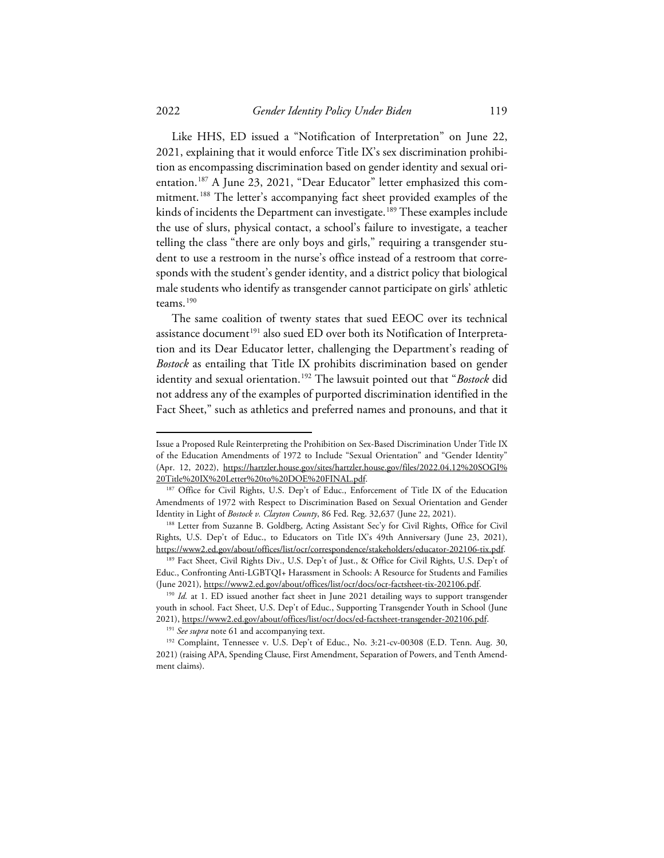Like HHS, ED issued a "Notification of Interpretation" on June 22, 2021, explaining that it would enforce Title IX's sex discrimination prohibition as encompassing discrimination based on gender identity and sexual orientation. [187](#page-34-0) A June 23, 2021, "Dear Educator" letter emphasized this commitment. [188](#page-34-1) The letter's accompanying fact sheet provided examples of the kinds of incidents the Department can investigate.<sup>[189](#page-34-2)</sup> These examples include the use of slurs, physical contact, a school's failure to investigate, a teacher telling the class "there are only boys and girls," requiring a transgender student to use a restroom in the nurse's office instead of a restroom that corresponds with the student's gender identity, and a district policy that biological male students who identify as transgender cannot participate on girls' athletic teams. [190](#page-34-3)

The same coalition of twenty states that sued EEOC over its technical assistance document<sup>[191](#page-34-4)</sup> also sued ED over both its Notification of Interpretation and its Dear Educator letter, challenging the Department's reading of *Bostock* as entailing that Title IX prohibits discrimination based on gender identity and sexual orientation. [192](#page-34-5) The lawsuit pointed out that "*Bostock* did not address any of the examples of purported discrimination identified in the Fact Sheet," such as athletics and preferred names and pronouns, and that it

Issue a Proposed Rule Reinterpreting the Prohibition on Sex-Based Discrimination Under Title IX of the Education Amendments of 1972 to Include "Sexual Orientation" and "Gender Identity" (Apr. 12, 2022), https://hartzler.house.gov/sites/hartzler.house.gov/files/2022.04.12%20SOGI% 20Title%20IX%20Letter%20to%20DOE%20FINAL.pdf.

<span id="page-34-0"></span><sup>&</sup>lt;sup>187</sup> Office for Civil Rights, U.S. Dep't of Educ., Enforcement of Title IX of the Education Amendments of 1972 with Respect to Discrimination Based on Sexual Orientation and Gender Identity in Light of *Bostock v. Clayton County*, 86 Fed. Reg. 32,637 (June 22, 2021).

<span id="page-34-1"></span><sup>188</sup> Letter from Suzanne B. Goldberg, Acting Assistant Sec'y for Civil Rights, Office for Civil Rights, U.S. Dep't of Educ., to Educators on Title IX's 49th Anniversary (June 23, 2021), https://www2.ed.gov/about/offices/list/ocr/correspondence/stakeholders/educator-202106-tix.pdf.

<span id="page-34-2"></span><sup>189</sup> Fact Sheet, Civil Rights Div., U.S. Dep't of Just., & Office for Civil Rights, U.S. Dep't of Educ., Confronting Anti-LGBTQI+ Harassment in Schools: A Resource for Students and Families (June 2021), https://www2.ed.gov/about/offices/list/ocr/docs/ocr-factsheet-tix-202106.pdf.

<span id="page-34-3"></span><sup>&</sup>lt;sup>190</sup> Id. at 1. ED issued another fact sheet in June 2021 detailing ways to support transgender youth in school. Fact Sheet, U.S. Dep't of Educ., Supporting Transgender Youth in School (June 2021), https://www2.ed.gov/about/offices/list/ocr/docs/ed-factsheet-transgender-202106.pdf.

<sup>&</sup>lt;sup>191</sup> See supra note 61 and accompanying text.

<span id="page-34-5"></span><span id="page-34-4"></span><sup>&</sup>lt;sup>192</sup> Complaint, Tennessee v. U.S. Dep't of Educ., No. 3:21-cv-00308 (E.D. Tenn. Aug. 30, 2021) (raising APA, Spending Clause, First Amendment, Separation of Powers, and Tenth Amendment claims).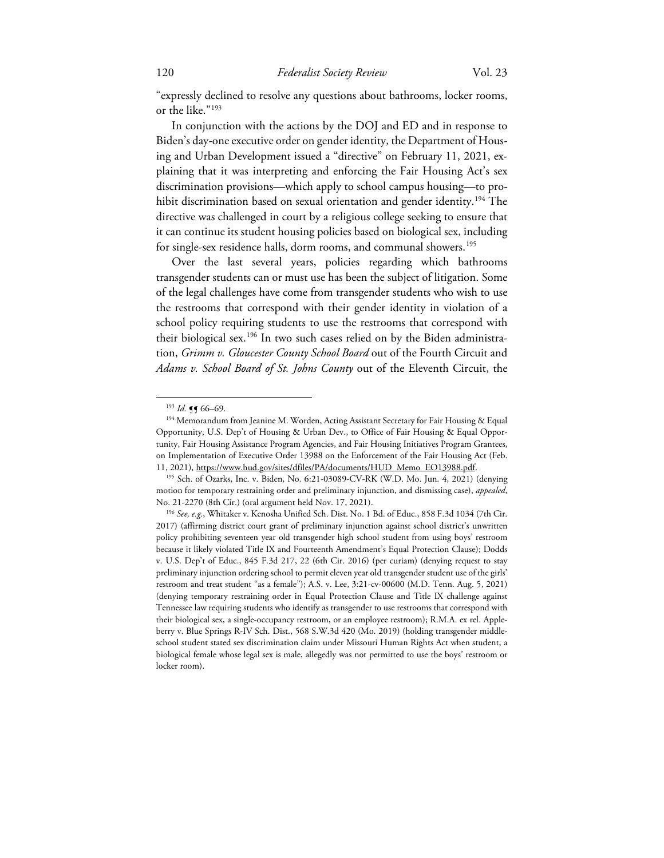"expressly declined to resolve any questions about bathrooms, locker rooms, or the like."[193](#page-35-0)

In conjunction with the actions by the DOJ and ED and in response to Biden's day-one executive order on gender identity, the Department of Housing and Urban Development issued a "directive" on February 11, 2021, explaining that it was interpreting and enforcing the Fair Housing Act's sex discrimination provisions—which apply to school campus housing—to pro-hibit discrimination based on sexual orientation and gender identity.<sup>[194](#page-35-1)</sup> The directive was challenged in court by a religious college seeking to ensure that it can continue its student housing policies based on biological sex, including for single-sex residence halls, dorm rooms, and communal showers.<sup>[195](#page-35-2)</sup>

Over the last several years, policies regarding which bathrooms transgender students can or must use has been the subject of litigation. Some of the legal challenges have come from transgender students who wish to use the restrooms that correspond with their gender identity in violation of a school policy requiring students to use the restrooms that correspond with their biological sex. [196](#page-35-3) In two such cases relied on by the Biden administration, *Grimm v. Gloucester County School Board* out of the Fourth Circuit and *Adams v. School Board of St. Johns County* out of the Eleventh Circuit, the

<sup>&</sup>lt;sup>193</sup> *Id.* **¶** 66–69.

<span id="page-35-1"></span><span id="page-35-0"></span><sup>&</sup>lt;sup>194</sup> Memorandum from Jeanine M. Worden, Acting Assistant Secretary for Fair Housing & Equal Opportunity, U.S. Dep't of Housing & Urban Dev., to Office of Fair Housing & Equal Opportunity, Fair Housing Assistance Program Agencies, and Fair Housing Initiatives Program Grantees, on Implementation of Executive Order 13988 on the Enforcement of the Fair Housing Act (Feb. 11, 2021), https://www.hud.gov/sites/dfiles/PA/documents/HUD\_Memo\_EO13988.pdf.

<span id="page-35-2"></span><sup>195</sup> Sch. of Ozarks, Inc. v. Biden, No. 6:21-03089-CV-RK (W.D. Mo. Jun. 4, 2021) (denying motion for temporary restraining order and preliminary injunction, and dismissing case), *appealed*, No. 21-2270 (8th Cir.) (oral argument held Nov. 17, 2021).

<span id="page-35-3"></span><sup>196</sup> *See, e.g.*, Whitaker v. Kenosha Unified Sch. Dist. No. 1 Bd. of Educ., 858 F.3d 1034 (7th Cir. 2017) (affirming district court grant of preliminary injunction against school district's unwritten policy prohibiting seventeen year old transgender high school student from using boys' restroom because it likely violated Title IX and Fourteenth Amendment's Equal Protection Clause); Dodds v. U.S. Dep't of Educ., 845 F.3d 217, 22 (6th Cir. 2016) (per curiam) (denying request to stay preliminary injunction ordering school to permit eleven year old transgender student use of the girls' restroom and treat student "as a female"); A.S. v. Lee, 3:21-cv-00600 (M.D. Tenn. Aug. 5, 2021) (denying temporary restraining order in Equal Protection Clause and Title IX challenge against Tennessee law requiring students who identify as transgender to use restrooms that correspond with their biological sex, a single-occupancy restroom, or an employee restroom); R.M.A. ex rel. Appleberry v. Blue Springs R-IV Sch. Dist., 568 S.W.3d 420 (Mo. 2019) (holding transgender middleschool student stated sex discrimination claim under Missouri Human Rights Act when student, a biological female whose legal sex is male, allegedly was not permitted to use the boys' restroom or locker room).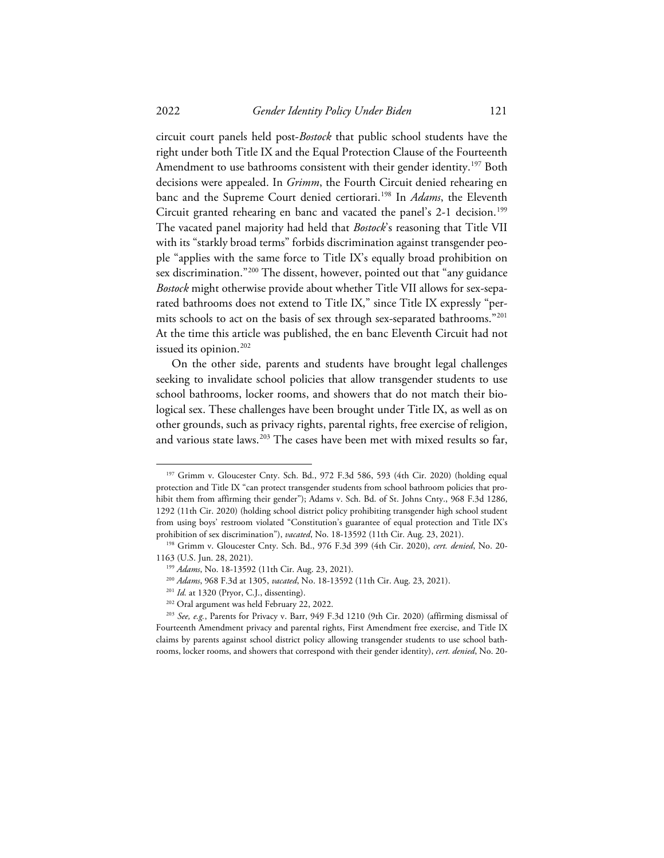circuit court panels held post-*Bostock* that public school students have the right under both Title IX and the Equal Protection Clause of the Fourteenth Amendment to use bathrooms consistent with their gender identity.<sup>197</sup> Both decisions were appealed. In *Grimm*, the Fourth Circuit denied rehearing en banc and the Supreme Court denied certiorari. [198](#page-36-1) In *Adams*, the Eleventh Circuit granted rehearing en banc and vacated the panel's 2-1 decision. [199](#page-36-2) The vacated panel majority had held that *Bostock*'s reasoning that Title VII with its "starkly broad terms" forbids discrimination against transgender people "applies with the same force to Title IX's equally broad prohibition on sex discrimination."[200](#page-36-3) The dissent, however, pointed out that "any guidance *Bostock* might otherwise provide about whether Title VII allows for sex-separated bathrooms does not extend to Title IX," since Title IX expressly "permits schools to act on the basis of sex through sex-separated bathrooms."[201](#page-36-4) At the time this article was published, the en banc Eleventh Circuit had not issued its opinion.<sup>[202](#page-36-5)</sup>

On the other side, parents and students have brought legal challenges seeking to invalidate school policies that allow transgender students to use school bathrooms, locker rooms, and showers that do not match their biological sex. These challenges have been brought under Title IX, as well as on other grounds, such as privacy rights, parental rights, free exercise of religion, and various state laws. [203](#page-36-6) The cases have been met with mixed results so far,

<span id="page-36-0"></span><sup>&</sup>lt;sup>197</sup> Grimm v. Gloucester Cnty. Sch. Bd., 972 F.3d 586, 593 (4th Cir. 2020) (holding equal protection and Title IX "can protect transgender students from school bathroom policies that prohibit them from affirming their gender"); Adams v. Sch. Bd. of St. Johns Cnty., 968 F.3d 1286, 1292 (11th Cir. 2020) (holding school district policy prohibiting transgender high school student from using boys' restroom violated "Constitution's guarantee of equal protection and Title IX's prohibition of sex discrimination"), *vacated*, No. 18-13592 (11th Cir. Aug. 23, 2021).

<span id="page-36-2"></span><span id="page-36-1"></span><sup>198</sup> Grimm v. Gloucester Cnty. Sch. Bd., 976 F.3d 399 (4th Cir. 2020), *cert. denied*, No. 20- 1163 (U.S. Jun. 28, 2021).

<sup>199</sup> *Adams*, No. 18-13592 (11th Cir. Aug. 23, 2021).

<sup>200</sup> *Adams*, 968 F.3d at 1305, *vacated*, No. 18-13592 (11th Cir. Aug. 23, 2021).

<sup>201</sup> *Id.* at 1320 (Pryor, C.J., dissenting).

<sup>202</sup> Oral argument was held February 22, 2022.

<span id="page-36-6"></span><span id="page-36-5"></span><span id="page-36-4"></span><span id="page-36-3"></span><sup>203</sup> *See, e.g.*, Parents for Privacy v. Barr, 949 F.3d 1210 (9th Cir. 2020) (affirming dismissal of Fourteenth Amendment privacy and parental rights, First Amendment free exercise, and Title IX claims by parents against school district policy allowing transgender students to use school bathrooms, locker rooms, and showers that correspond with their gender identity), *cert. denied*, No. 20-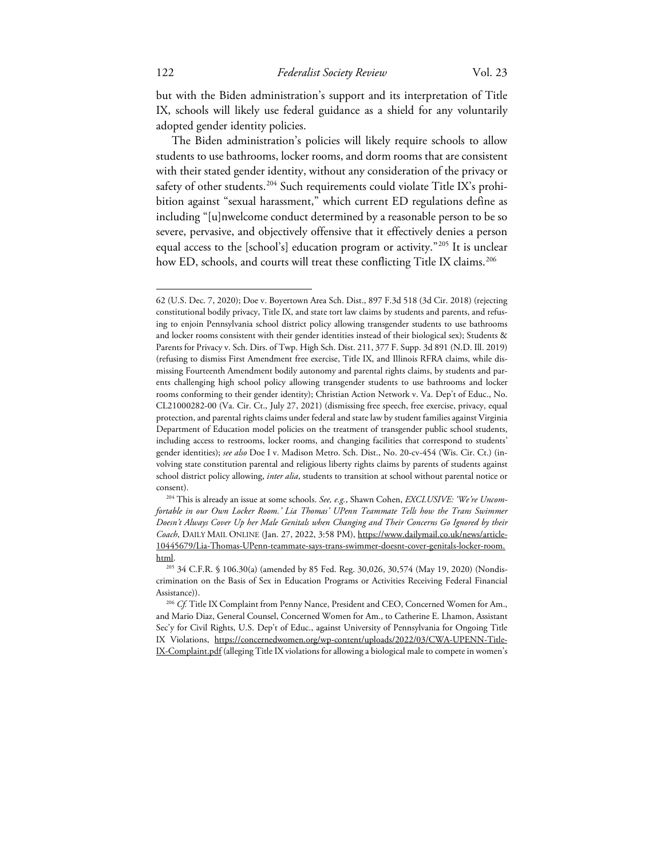but with the Biden administration's support and its interpretation of Title IX, schools will likely use federal guidance as a shield for any voluntarily adopted gender identity policies.

The Biden administration's policies will likely require schools to allow students to use bathrooms, locker rooms, and dorm rooms that are consistent with their stated gender identity, without any consideration of the privacy or safety of other students.<sup>[204](#page-37-0)</sup> Such requirements could violate Title IX's prohibition against "sexual harassment," which current ED regulations define as including "[u]nwelcome conduct determined by a reasonable person to be so severe, pervasive, and objectively offensive that it effectively denies a person equal access to the [school's] education program or activity."[205](#page-37-1) It is unclear how ED, schools, and courts will treat these conflicting Title IX claims.<sup>[206](#page-37-2)</sup>

<sup>62 (</sup>U.S. Dec. 7, 2020); Doe v. Boyertown Area Sch. Dist., 897 F.3d 518 (3d Cir. 2018) (rejecting constitutional bodily privacy, Title IX, and state tort law claims by students and parents, and refusing to enjoin Pennsylvania school district policy allowing transgender students to use bathrooms and locker rooms consistent with their gender identities instead of their biological sex); Students & Parents for Privacy v. Sch. Dirs. of Twp. High Sch. Dist. 211, 377 F. Supp. 3d 891 (N.D. Ill. 2019) (refusing to dismiss First Amendment free exercise, Title IX, and Illinois RFRA claims, while dismissing Fourteenth Amendment bodily autonomy and parental rights claims, by students and parents challenging high school policy allowing transgender students to use bathrooms and locker rooms conforming to their gender identity); Christian Action Network v. Va. Dep't of Educ., No. CL21000282-00 (Va. Cir. Ct., July 27, 2021) (dismissing free speech, free exercise, privacy, equal protection, and parental rights claims under federal and state law by student families against Virginia Department of Education model policies on the treatment of transgender public school students, including access to restrooms, locker rooms, and changing facilities that correspond to students' gender identities); *see also* Doe I v. Madison Metro. Sch. Dist., No. 20-cv-454 (Wis. Cir. Ct.) (involving state constitution parental and religious liberty rights claims by parents of students against school district policy allowing, *inter alia*, students to transition at school without parental notice or consent).

<span id="page-37-0"></span><sup>204</sup> This is already an issue at some schools. *See, e.g.*, Shawn Cohen, *EXCLUSIVE: 'We're Uncomfortable in our Own Locker Room.' Lia Thomas' UPenn Teammate Tells how the Trans Swimmer Doesn't Always Cover Up her Male Genitals when Changing and Their Concerns Go Ignored by their Coach*, DAILY MAIL ONLINE (Jan. 27, 2022, 3:58 PM), https://www.dailymail.co.uk/news/article-10445679/Lia-Thomas-UPenn-teammate-says-trans-swimmer-doesnt-cover-genitals-locker-room. html.

<span id="page-37-1"></span><sup>205</sup> 34 C.F.R. § 106.30(a) (amended by 85 Fed. Reg. 30,026, 30,574 (May 19, 2020) (Nondiscrimination on the Basis of Sex in Education Programs or Activities Receiving Federal Financial Assistance)).

<span id="page-37-2"></span><sup>206</sup> *Cf.* Title IX Complaint from Penny Nance, President and CEO, Concerned Women for Am., and Mario Diaz, General Counsel, Concerned Women for Am., to Catherine E. Lhamon, Assistant Sec'y for Civil Rights, U.S. Dep't of Educ., against University of Pennsylvania for Ongoing Title IX Violations, https://concernedwomen.org/wp-content/uploads/2022/03/CWA-UPENN-Title-IX-Complaint.pdf (alleging Title IX violations for allowing a biological male to compete in women's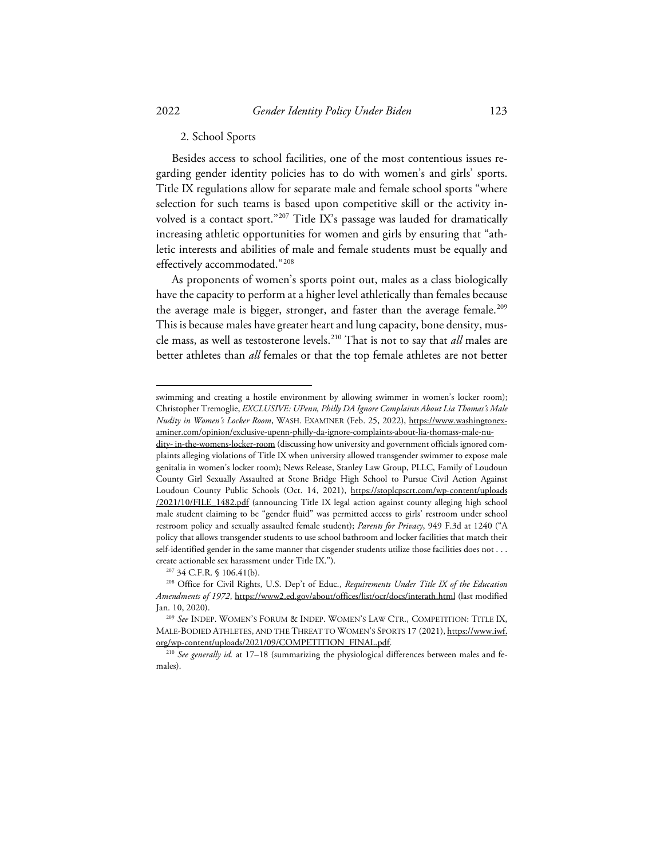## 2. School Sports

Besides access to school facilities, one of the most contentious issues regarding gender identity policies has to do with women's and girls' sports. Title IX regulations allow for separate male and female school sports "where selection for such teams is based upon competitive skill or the activity involved is a contact sport."[207](#page-38-0) Title IX's passage was lauded for dramatically increasing athletic opportunities for women and girls by ensuring that "athletic interests and abilities of male and female students must be equally and effectively accommodated.["208](#page-38-1)

As proponents of women's sports point out, males as a class biologically have the capacity to perform at a higher level athletically than females because the average male is bigger, stronger, and faster than the average female. [209](#page-38-2) This is because males have greater heart and lung capacity, bone density, muscle mass, as well as testosterone levels. [210](#page-38-3) That is not to say that *all* males are better athletes than *all* females or that the top female athletes are not better

swimming and creating a hostile environment by allowing swimmer in women's locker room); Christopher Tremoglie, *EXCLUSIVE: UPenn, Philly DA Ignore Complaints About Lia Thomas's Male Nudity in Women's Locker Room*, WASH. EXAMINER (Feb. 25, 2022), https://www.washingtonexaminer.com/opinion/exclusive-upenn-philly-da-ignore-complaints-about-lia-thomass-male-nu-

dity- in-the-womens-locker-room (discussing how university and government officials ignored complaints alleging violations of Title IX when university allowed transgender swimmer to expose male genitalia in women's locker room); News Release, Stanley Law Group, PLLC, Family of Loudoun County Girl Sexually Assaulted at Stone Bridge High School to Pursue Civil Action Against Loudoun County Public Schools (Oct. 14, 2021), https://stoplcpscrt.com/wp-content/uploads /2021/10/FILE\_1482.pdf (announcing Title IX legal action against county alleging high school male student claiming to be "gender fluid" was permitted access to girls' restroom under school restroom policy and sexually assaulted female student); *Parents for Privacy*, 949 F.3d at 1240 ("A policy that allows transgender students to use school bathroom and locker facilities that match their self-identified gender in the same manner that cisgender students utilize those facilities does not . . . create actionable sex harassment under Title IX.").

<sup>207</sup> 34 C.F.R. § 106.41(b).

<span id="page-38-1"></span><span id="page-38-0"></span><sup>208</sup> Office for Civil Rights, U.S. Dep't of Educ., *Requirements Under Title IX of the Education Amendments of 1972*, https://www2.ed.gov/about/offices/list/ocr/docs/interath.html (last modified Jan. 10, 2020).

<span id="page-38-2"></span><sup>209</sup> *See* INDEP. WOMEN'S FORUM & INDEP. WOMEN'S LAW CTR., COMPETITION: TITLE IX, MALE-BODIED ATHLETES, AND THE THREAT TO WOMEN'S SPORTS 17 (2021), https://www.iwf. org/wp-content/uploads/2021/09/COMPETITION\_FINAL.pdf.

<span id="page-38-3"></span><sup>210</sup> *See generally id.* at 17–18 (summarizing the physiological differences between males and females).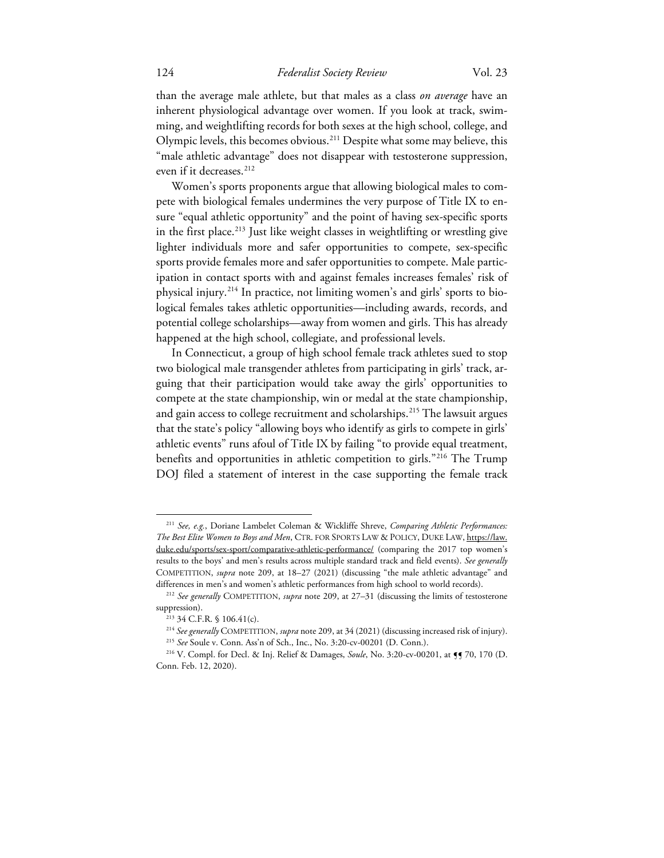than the average male athlete, but that males as a class *on average* have an inherent physiological advantage over women. If you look at track, swimming, and weightlifting records for both sexes at the high school, college, and Olympic levels, this becomes obvious.[211](#page-39-0) Despite what some may believe, this "male athletic advantage" does not disappear with testosterone suppression, even if it decreases.<sup>[212](#page-39-1)</sup>

Women's sports proponents argue that allowing biological males to compete with biological females undermines the very purpose of Title IX to ensure "equal athletic opportunity" and the point of having sex-specific sports in the first place.<sup>[213](#page-39-2)</sup> Just like weight classes in weightlifting or wrestling give lighter individuals more and safer opportunities to compete, sex-specific sports provide females more and safer opportunities to compete. Male participation in contact sports with and against females increases females' risk of physical injury.[214](#page-39-3) In practice, not limiting women's and girls' sports to biological females takes athletic opportunities—including awards, records, and potential college scholarships—away from women and girls. This has already happened at the high school, collegiate, and professional levels.

In Connecticut, a group of high school female track athletes sued to stop two biological male transgender athletes from participating in girls' track, arguing that their participation would take away the girls' opportunities to compete at the state championship, win or medal at the state championship, and gain access to college recruitment and scholarships. [215](#page-39-4) The lawsuit argues that the state's policy "allowing boys who identify as girls to compete in girls' athletic events" runs afoul of Title IX by failing "to provide equal treatment, benefits and opportunities in athletic competition to girls."<sup>[216](#page-39-5)</sup> The Trump DOJ filed a statement of interest in the case supporting the female track

<span id="page-39-0"></span><sup>211</sup> *See, e.g.*, Doriane Lambelet Coleman & Wickliffe Shreve, *Comparing Athletic Performances: The Best Elite Women to Boys and Men*, CTR. FOR SPORTS LAW & POLICY, DUKE LAW, https://law. duke.edu/sports/sex-sport/comparative-athletic-performance/ (comparing the 2017 top women's results to the boys' and men's results across multiple standard track and field events). *See generally*  COMPETITION, *supra* note 209, at 18–27 (2021) (discussing "the male athletic advantage" and differences in men's and women's athletic performances from high school to world records).

<span id="page-39-2"></span><span id="page-39-1"></span><sup>212</sup> *See generally* COMPETITION, *supra* note 209, at 27–31 (discussing the limits of testosterone suppression).

<sup>213</sup> 34 C.F.R. § 106.41(c).

<sup>214</sup> *See generally* COMPETITION, *supra* note 209, at 34 (2021) (discussing increased risk of injury). <sup>215</sup> *See* Soule v. Conn. Ass'n of Sch., Inc., No. 3:20-cv-00201 (D. Conn.).

<span id="page-39-5"></span><span id="page-39-4"></span><span id="page-39-3"></span><sup>216</sup> V. Compl. for Decl. & Inj. Relief & Damages, *Soule*, No. 3:20-cv-00201, at ¶¶ 70, 170 (D. Conn. Feb. 12, 2020).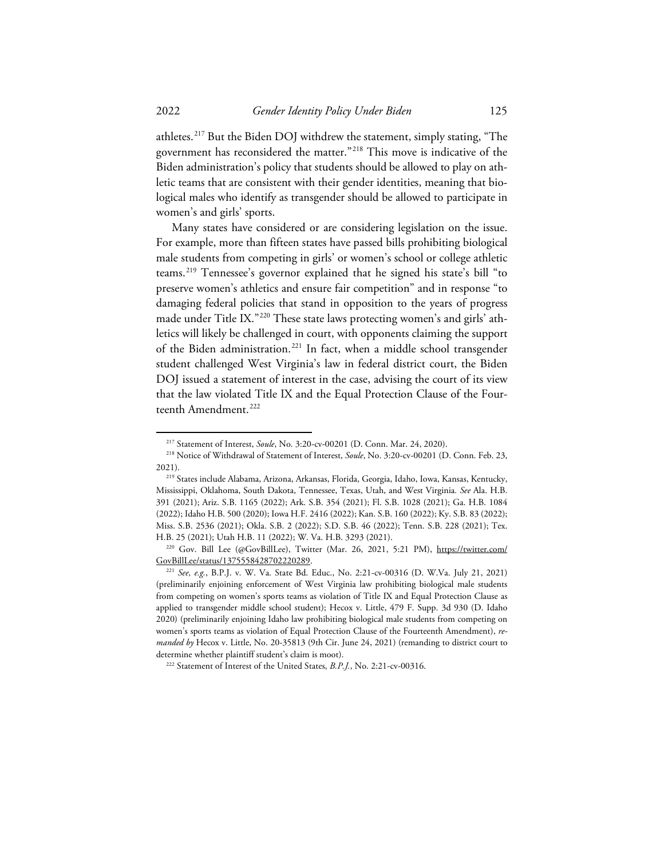athletes.[217](#page-40-0) But the Biden DOJ withdrew the statement, simply stating, "The government has reconsidered the matter."[218](#page-40-1) This move is indicative of the Biden administration's policy that students should be allowed to play on athletic teams that are consistent with their gender identities, meaning that biological males who identify as transgender should be allowed to participate in women's and girls' sports.

Many states have considered or are considering legislation on the issue. For example, more than fifteen states have passed bills prohibiting biological male students from competing in girls' or women's school or college athletic teams.[219](#page-40-2) Tennessee's governor explained that he signed his state's bill "to preserve women's athletics and ensure fair competition" and in response "to damaging federal policies that stand in opposition to the years of progress made under Title IX."[220](#page-40-3) These state laws protecting women's and girls' athletics will likely be challenged in court, with opponents claiming the support of the Biden administration. [221](#page-40-4) In fact, when a middle school transgender student challenged West Virginia's law in federal district court, the Biden DOJ issued a statement of interest in the case, advising the court of its view that the law violated Title IX and the Equal Protection Clause of the Four-teenth Amendment.<sup>[222](#page-40-5)</sup>

<sup>217</sup> Statement of Interest, *Soule*, No. 3:20-cv-00201 (D. Conn. Mar. 24, 2020).

<span id="page-40-1"></span><span id="page-40-0"></span><sup>218</sup> Notice of Withdrawal of Statement of Interest, *Soule*, No. 3:20-cv-00201 (D. Conn. Feb. 23, 2021).

<span id="page-40-2"></span><sup>219</sup> States include Alabama, Arizona, Arkansas, Florida, Georgia, Idaho, Iowa, Kansas, Kentucky, Mississippi, Oklahoma, South Dakota, Tennessee, Texas, Utah, and West Virginia*. See* Ala. H.B. 391 (2021); Ariz. S.B. 1165 (2022); Ark. S.B. 354 (2021); Fl. S.B. 1028 (2021); Ga. H.B. 1084 (2022); Idaho H.B. 500 (2020); Iowa H.F. 2416 (2022); Kan. S.B. 160 (2022); Ky. S.B. 83 (2022); Miss. S.B. 2536 (2021); Okla. S.B. 2 (2022); S.D. S.B. 46 (2022); Tenn. S.B. 228 (2021); Tex. H.B. 25 (2021); Utah H.B. 11 (2022); W. Va. H.B. 3293 (2021).

<span id="page-40-3"></span><sup>&</sup>lt;sup>220</sup> Gov. Bill Lee (@GovBillLee), Twitter (Mar. 26, 2021, 5:21 PM), https://twitter.com/ GovBillLee/status/1375558428702220289.

<span id="page-40-4"></span><sup>221</sup> *See, e.g.*, B.P.J. v. W. Va. State Bd. Educ., No. 2:21-cv-00316 (D. W.Va. July 21, 2021) (preliminarily enjoining enforcement of West Virginia law prohibiting biological male students from competing on women's sports teams as violation of Title IX and Equal Protection Clause as applied to transgender middle school student); Hecox v. Little, 479 F. Supp. 3d 930 (D. Idaho 2020) (preliminarily enjoining Idaho law prohibiting biological male students from competing on women's sports teams as violation of Equal Protection Clause of the Fourteenth Amendment), *remanded by* Hecox v. Little, No. 20-35813 (9th Cir. June 24, 2021) (remanding to district court to determine whether plaintiff student's claim is moot).

<span id="page-40-5"></span><sup>222</sup> Statement of Interest of the United States, *B.P.J.*, No. 2:21-cv-00316.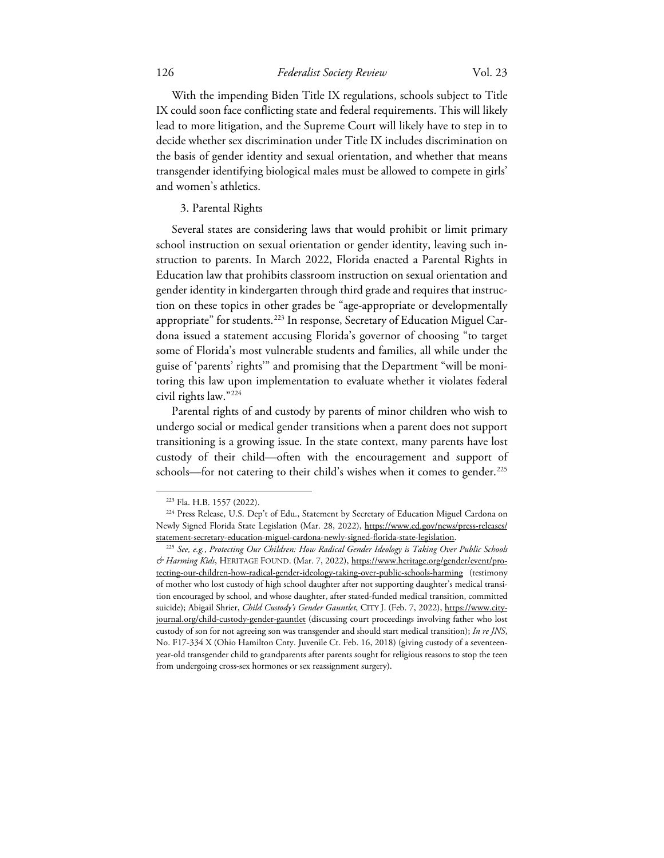With the impending Biden Title IX regulations, schools subject to Title IX could soon face conflicting state and federal requirements. This will likely lead to more litigation, and the Supreme Court will likely have to step in to decide whether sex discrimination under Title IX includes discrimination on the basis of gender identity and sexual orientation, and whether that means transgender identifying biological males must be allowed to compete in girls' and women's athletics.

## 3. Parental Rights

Several states are considering laws that would prohibit or limit primary school instruction on sexual orientation or gender identity, leaving such instruction to parents. In March 2022, Florida enacted a Parental Rights in Education law that prohibits classroom instruction on sexual orientation and gender identity in kindergarten through third grade and requires that instruction on these topics in other grades be "age-appropriate or developmentally appropriate" for students.<sup>[223](#page-41-0)</sup> In response, Secretary of Education Miguel Cardona issued a statement accusing Florida's governor of choosing "to target some of Florida's most vulnerable students and families, all while under the guise of 'parents' rights'" and promising that the Department "will be monitoring this law upon implementation to evaluate whether it violates federal civil rights law."[224](#page-41-1)

Parental rights of and custody by parents of minor children who wish to undergo social or medical gender transitions when a parent does not support transitioning is a growing issue. In the state context, many parents have lost custody of their child—often with the encouragement and support of schools—for not catering to their child's wishes when it comes to gender.<sup>[225](#page-41-2)</sup>

<sup>223</sup> Fla. H.B. 1557 (2022).

<span id="page-41-1"></span><span id="page-41-0"></span><sup>224</sup> Press Release, U.S. Dep't of Edu., Statement by Secretary of Education Miguel Cardona on Newly Signed Florida State Legislation (Mar. 28, 2022), https://www.ed.gov/news/press-releases/ statement-secretary-education-miguel-cardona-newly-signed-florida-state-legislation. 225 *See, e.g.*, *Protecting Our Children: How Radical Gender Ideology is Taking Over Public Schools* 

<span id="page-41-2"></span>*<sup>&</sup>amp; Harming Kids*, HERITAGE FOUND. (Mar. 7, 2022), https://www.heritage.org/gender/event/protecting-our-children-how-radical-gender-ideology-taking-over-public-schools-harming (testimony of mother who lost custody of high school daughter after not supporting daughter's medical transition encouraged by school, and whose daughter, after stated-funded medical transition, committed suicide); Abigail Shrier, *Child Custody's Gender Gauntlet*, CITY J. (Feb. 7, 2022), https://www.cityjournal.org/child-custody-gender-gauntlet (discussing court proceedings involving father who lost custody of son for not agreeing son was transgender and should start medical transition); *In re JNS*, No. F17-334 X (Ohio Hamilton Cnty. Juvenile Ct. Feb. 16, 2018) (giving custody of a seventeenyear-old transgender child to grandparents after parents sought for religious reasons to stop the teen from undergoing cross-sex hormones or sex reassignment surgery).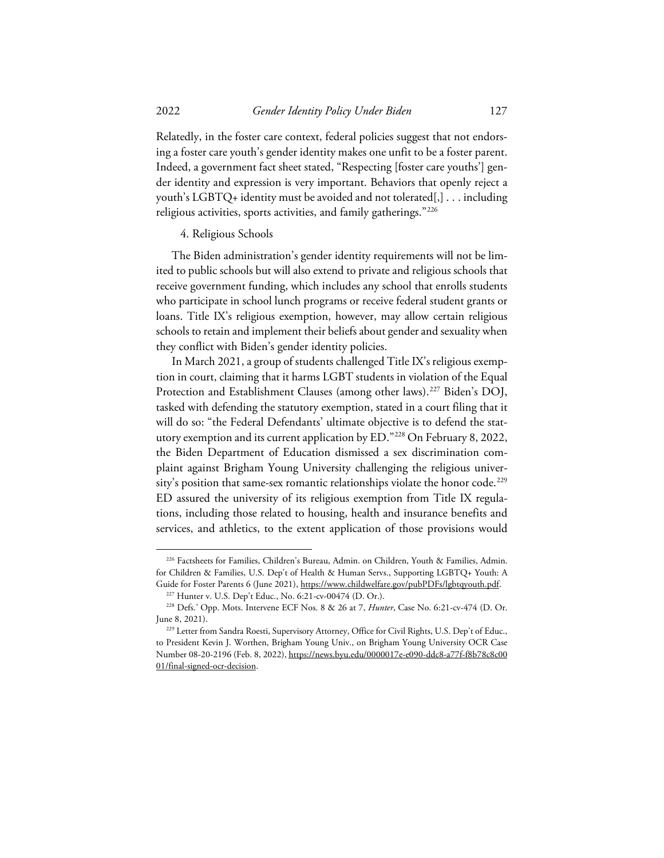Relatedly, in the foster care context, federal policies suggest that not endorsing a foster care youth's gender identity makes one unfit to be a foster parent. Indeed, a government fact sheet stated, "Respecting [foster care youths'] gender identity and expression is very important. Behaviors that openly reject a youth's LGBTQ+ identity must be avoided and not tolerated[,] . . . including religious activities, sports activities, and family gatherings."[226](#page-42-0)

#### 4. Religious Schools

The Biden administration's gender identity requirements will not be limited to public schools but will also extend to private and religious schools that receive government funding, which includes any school that enrolls students who participate in school lunch programs or receive federal student grants or loans. Title IX's religious exemption, however, may allow certain religious schools to retain and implement their beliefs about gender and sexuality when they conflict with Biden's gender identity policies.

In March 2021, a group of students challenged Title IX's religious exemption in court, claiming that it harms LGBT students in violation of the Equal Protection and Establishment Clauses (among other laws).<sup>[227](#page-42-1)</sup> Biden's DOJ, tasked with defending the statutory exemption, stated in a court filing that it will do so: "the Federal Defendants' ultimate objective is to defend the statutory exemption and its current application by ED."[228](#page-42-2) On February 8, 2022, the Biden Department of Education dismissed a sex discrimination complaint against Brigham Young University challenging the religious univer-sity's position that same-sex romantic relationships violate the honor code.<sup>[229](#page-42-3)</sup> ED assured the university of its religious exemption from Title IX regulations, including those related to housing, health and insurance benefits and services, and athletics, to the extent application of those provisions would

<span id="page-42-0"></span><sup>226</sup> Factsheets for Families, Children's Bureau, Admin. on Children, Youth & Families, Admin. for Children & Families, U.S. Dep't of Health & Human Servs., Supporting LGBTQ+ Youth: A Guide for Foster Parents 6 (June 2021), https://www.childwelfare.gov/pubPDFs/lgbtqyouth.pdf.

<sup>227</sup> Hunter v. U.S. Dep't Educ., No. 6:21-cv-00474 (D. Or.).

<span id="page-42-2"></span><span id="page-42-1"></span><sup>228</sup> Defs.' Opp. Mots. Intervene ECF Nos. 8 & 26 at 7, *Hunter*, Case No. 6:21-cv-474 (D. Or. June 8, 2021).

<span id="page-42-3"></span><sup>&</sup>lt;sup>229</sup> Letter from Sandra Roesti, Supervisory Attorney, Office for Civil Rights, U.S. Dep't of Educ., to President Kevin J. Worthen, Brigham Young Univ., on Brigham Young University OCR Case Number 08-20-2196 (Feb. 8, 2022), https://news.byu.edu/0000017e-e090-ddc8-a77f-f8b78c8c00 01/final-signed-ocr-decision.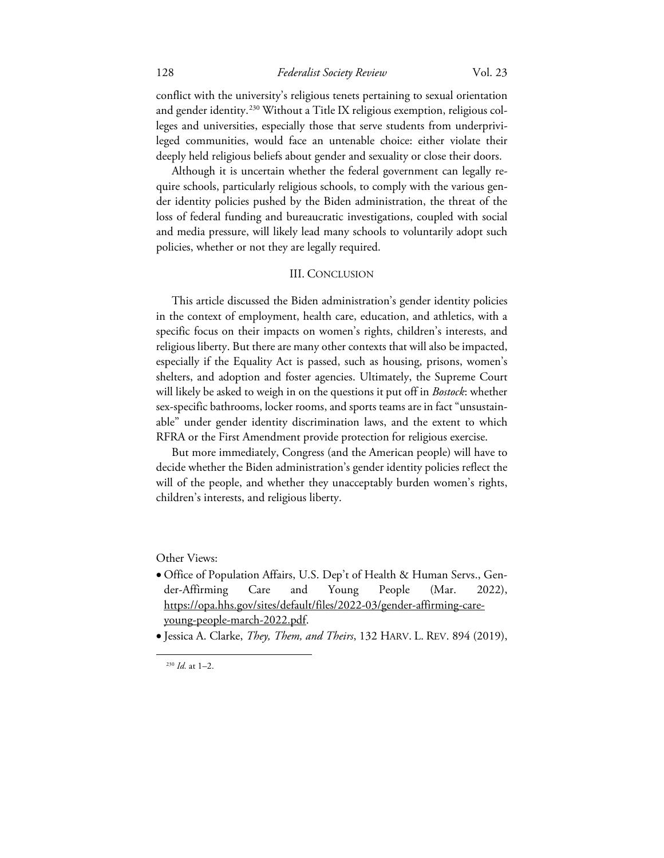conflict with the university's religious tenets pertaining to sexual orientation and gender identity.<sup>[230](#page-43-0)</sup> Without a Title IX religious exemption, religious colleges and universities, especially those that serve students from underprivileged communities, would face an untenable choice: either violate their deeply held religious beliefs about gender and sexuality or close their doors.

Although it is uncertain whether the federal government can legally require schools, particularly religious schools, to comply with the various gender identity policies pushed by the Biden administration, the threat of the loss of federal funding and bureaucratic investigations, coupled with social and media pressure, will likely lead many schools to voluntarily adopt such policies, whether or not they are legally required.

#### III. CONCLUSION

This article discussed the Biden administration's gender identity policies in the context of employment, health care, education, and athletics, with a specific focus on their impacts on women's rights, children's interests, and religious liberty. But there are many other contexts that will also be impacted, especially if the Equality Act is passed, such as housing, prisons, women's shelters, and adoption and foster agencies. Ultimately, the Supreme Court will likely be asked to weigh in on the questions it put off in *Bostock*: whether sex-specific bathrooms, locker rooms, and sports teams are in fact "unsustainable" under gender identity discrimination laws, and the extent to which RFRA or the First Amendment provide protection for religious exercise.

But more immediately, Congress (and the American people) will have to decide whether the Biden administration's gender identity policies reflect the will of the people, and whether they unacceptably burden women's rights, children's interests, and religious liberty.

Other Views:

• Office of Population Affairs, U.S. Dep't of Health & Human Servs., Gender-Affirming Care and Young People (Mar. 2022), https://opa.hhs.gov/sites/default/files/2022-03/gender-affirming-careyoung-people-march-2022.pdf.

<span id="page-43-0"></span><sup>•</sup> Jessica A. Clarke, *They, Them, and Theirs*, 132 HARV. L. REV. 894 (2019),

<sup>230</sup> *Id.* at 1–2.